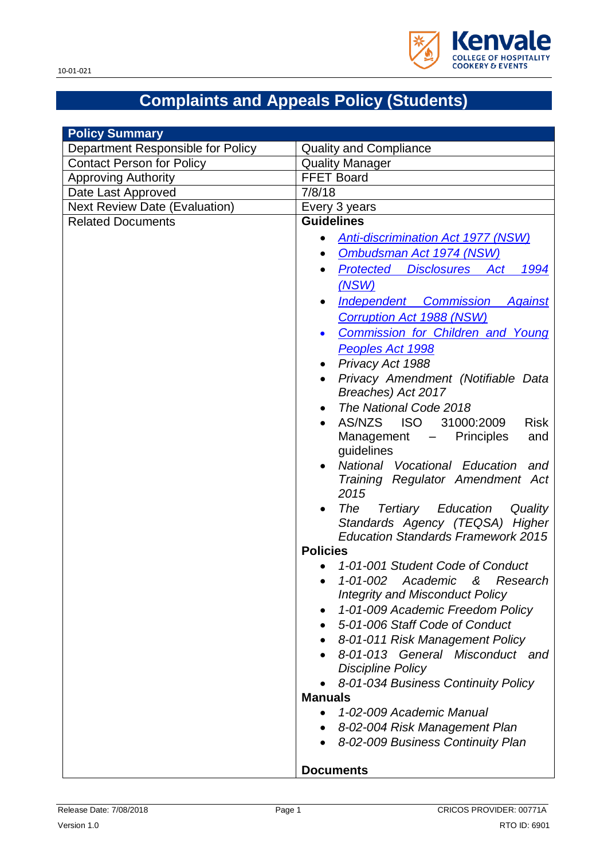

# **Complaints and Appeals Policy (Students)**

| <b>Policy Summary</b>                |                                                                                                                                                                                                                                                                                                                                                                                                                                                                                                                                                                                                                                                                                                                                                                                                                                                                                                                                                                                                                                                                                                                                                                                                                                                                |
|--------------------------------------|----------------------------------------------------------------------------------------------------------------------------------------------------------------------------------------------------------------------------------------------------------------------------------------------------------------------------------------------------------------------------------------------------------------------------------------------------------------------------------------------------------------------------------------------------------------------------------------------------------------------------------------------------------------------------------------------------------------------------------------------------------------------------------------------------------------------------------------------------------------------------------------------------------------------------------------------------------------------------------------------------------------------------------------------------------------------------------------------------------------------------------------------------------------------------------------------------------------------------------------------------------------|
| Department Responsible for Policy    | <b>Quality and Compliance</b>                                                                                                                                                                                                                                                                                                                                                                                                                                                                                                                                                                                                                                                                                                                                                                                                                                                                                                                                                                                                                                                                                                                                                                                                                                  |
| <b>Contact Person for Policy</b>     | <b>Quality Manager</b>                                                                                                                                                                                                                                                                                                                                                                                                                                                                                                                                                                                                                                                                                                                                                                                                                                                                                                                                                                                                                                                                                                                                                                                                                                         |
| <b>Approving Authority</b>           | <b>FFET Board</b>                                                                                                                                                                                                                                                                                                                                                                                                                                                                                                                                                                                                                                                                                                                                                                                                                                                                                                                                                                                                                                                                                                                                                                                                                                              |
| Date Last Approved                   | 7/8/18                                                                                                                                                                                                                                                                                                                                                                                                                                                                                                                                                                                                                                                                                                                                                                                                                                                                                                                                                                                                                                                                                                                                                                                                                                                         |
| <b>Next Review Date (Evaluation)</b> | Every 3 years                                                                                                                                                                                                                                                                                                                                                                                                                                                                                                                                                                                                                                                                                                                                                                                                                                                                                                                                                                                                                                                                                                                                                                                                                                                  |
| <b>Related Documents</b>             | <b>Guidelines</b>                                                                                                                                                                                                                                                                                                                                                                                                                                                                                                                                                                                                                                                                                                                                                                                                                                                                                                                                                                                                                                                                                                                                                                                                                                              |
|                                      | <b>Anti-discrimination Act 1977 (NSW)</b><br>Ombudsman Act 1974 (NSW)<br>$\bullet$<br>Protected Disclosures Act<br>1994<br>(NSW)<br><b>Independent Commission Against</b><br>$\bullet$<br><b>Corruption Act 1988 (NSW)</b><br><b>Commission for Children and Young</b><br>$\bullet$<br>Peoples Act 1998<br>Privacy Act 1988<br>Privacy Amendment (Notifiable Data<br>Breaches) Act 2017<br>The National Code 2018<br>٠<br>AS/NZS ISO<br>31000:2009<br><b>Risk</b><br>Management -<br><b>Principles</b><br>and<br>guidelines<br>National Vocational Education<br>and<br>Training Regulator Amendment Act<br>2015<br>Tertiary Education<br>The<br>Quality<br>$\bullet$<br>Standards Agency (TEQSA) Higher<br><b>Education Standards Framework 2015</b><br><b>Policies</b><br>1-01-001 Student Code of Conduct<br>1-01-002 Academic & Research<br>$\bullet$<br><b>Integrity and Misconduct Policy</b><br>1-01-009 Academic Freedom Policy<br>٠<br>5-01-006 Staff Code of Conduct<br>8-01-011 Risk Management Policy<br>8-01-013 General Misconduct and<br><b>Discipline Policy</b><br>8-01-034 Business Continuity Policy<br><b>Manuals</b><br>1-02-009 Academic Manual<br>8-02-004 Risk Management Plan<br>8-02-009 Business Continuity Plan<br><b>Documents</b> |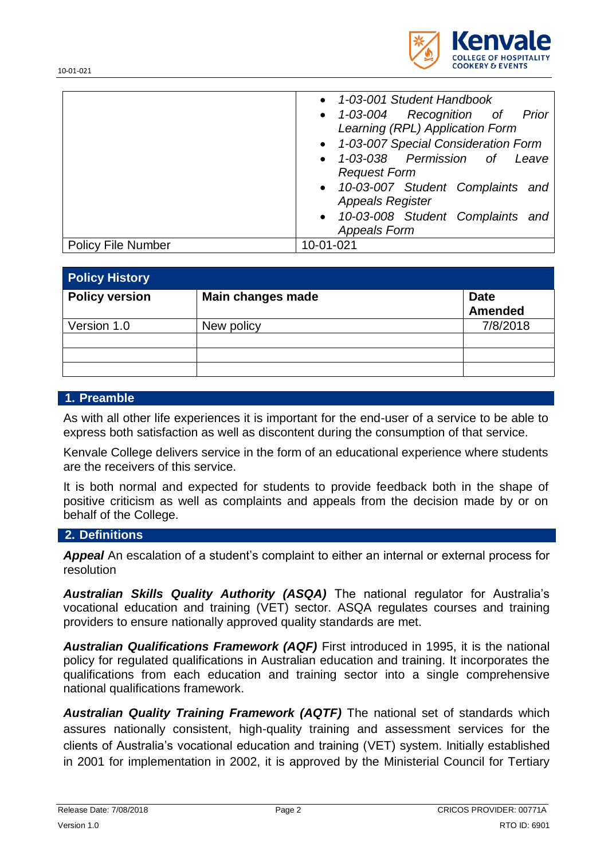

| 1-03-001 Student Handbook                     |
|-----------------------------------------------|
| • 1-03-004 Recognition of Prior               |
| Learning (RPL) Application Form               |
| • 1-03-007 Special Consideration Form         |
| 1-03-038 Permission of Leave<br>$\bullet$     |
| <b>Request Form</b>                           |
| 10-03-007 Student Complaints and<br>$\bullet$ |
| <b>Appeals Register</b>                       |
| 10-03-008 Student Complaints and<br>$\bullet$ |
| <b>Appeals Form</b>                           |

Policy File Number 10-01-021

| <b>Policy History</b> |                   |                               |
|-----------------------|-------------------|-------------------------------|
| <b>Policy version</b> | Main changes made | <b>Date</b><br><b>Amended</b> |
| Version 1.0           | New policy        | 7/8/2018                      |
|                       |                   |                               |
|                       |                   |                               |

#### **1. Preamble**

As with all other life experiences it is important for the end-user of a service to be able to express both satisfaction as well as discontent during the consumption of that service.

Kenvale College delivers service in the form of an educational experience where students are the receivers of this service.

It is both normal and expected for students to provide feedback both in the shape of positive criticism as well as complaints and appeals from the decision made by or on behalf of the College.

#### **2. Definitions**

*Appeal* An escalation of a student's complaint to either an internal or external process for resolution

*Australian Skills Quality Authority (ASQA)* The national regulator for Australia's vocational education and training (VET) sector. ASQA regulates courses and training providers to ensure nationally approved quality standards are met.

*Australian Qualifications Framework (AQF)* First introduced in 1995, it is the national policy for regulated qualifications in Australian education and training. It incorporates the qualifications from each education and training sector into a single comprehensive national qualifications framework.

*Australian Quality Training Framework (AQTF)* The national set of standards which assures nationally consistent, high-quality training and assessment services for the clients of Australia's vocational education and training (VET) system. Initially established in 2001 for implementation in 2002, it is approved by the Ministerial Council for Tertiary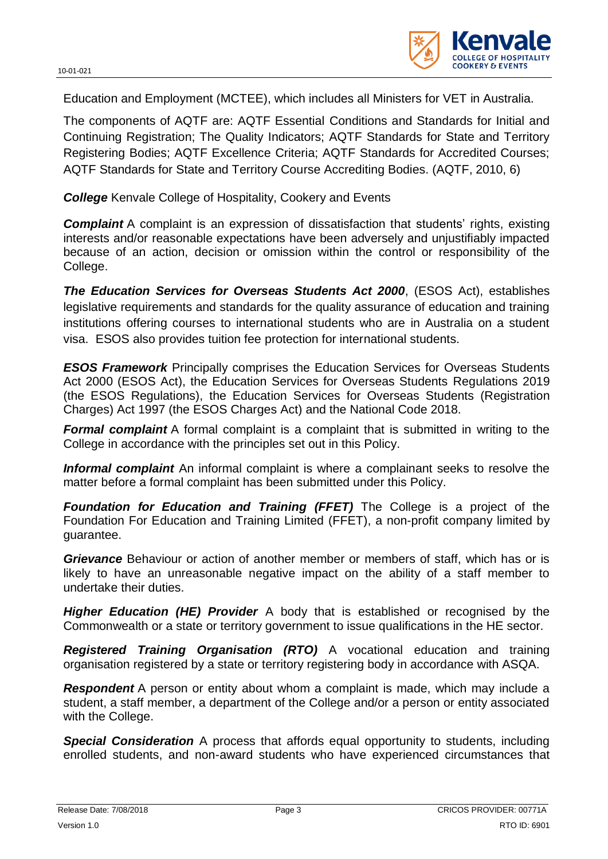

Education and Employment (MCTEE), which includes all Ministers for VET in Australia.

The components of AQTF are: AQTF Essential Conditions and Standards for Initial and Continuing Registration; The Quality Indicators; AQTF Standards for State and Territory Registering Bodies; AQTF Excellence Criteria; AQTF Standards for Accredited Courses; AQTF Standards for State and Territory Course Accrediting Bodies. (AQTF, 2010, 6)

*College* Kenvale College of Hospitality, Cookery and Events

**Complaint** A complaint is an expression of dissatisfaction that students' rights, existing interests and/or reasonable expectations have been adversely and unjustifiably impacted because of an action, decision or omission within the control or responsibility of the College.

*The Education Services for Overseas Students Act 2000*, (ESOS Act), establishes legislative requirements and standards for the quality assurance of education and training institutions offering courses to international students who are in Australia on a student visa. ESOS also provides tuition fee protection for international students.

*ESOS Framework* Principally comprises the Education Services for Overseas Students Act 2000 (ESOS Act), the Education Services for Overseas Students Regulations 2019 (the ESOS Regulations), the Education Services for Overseas Students (Registration Charges) Act 1997 (the ESOS Charges Act) and the National Code 2018.

**Formal complaint** A formal complaint is a complaint that is submitted in writing to the College in accordance with the principles set out in this Policy.

*Informal complaint* An informal complaint is where a complainant seeks to resolve the matter before a formal complaint has been submitted under this Policy.

*Foundation for Education and Training (FFET)* The College is a project of the Foundation For Education and Training Limited (FFET), a non-profit company limited by guarantee.

*Grievance* Behaviour or action of another member or members of staff, which has or is likely to have an unreasonable negative impact on the ability of a staff member to undertake their duties.

*Higher Education (HE) Provider* A body that is established or recognised by the Commonwealth or a state or territory government to issue qualifications in the HE sector.

*Registered Training Organisation (RTO)* A vocational education and training organisation registered by a state or territory registering body in accordance with ASQA.

*Respondent* A person or entity about whom a complaint is made, which may include a student, a staff member, a department of the College and/or a person or entity associated with the College.

**Special Consideration** A process that affords equal opportunity to students, including enrolled students, and non-award students who have experienced circumstances that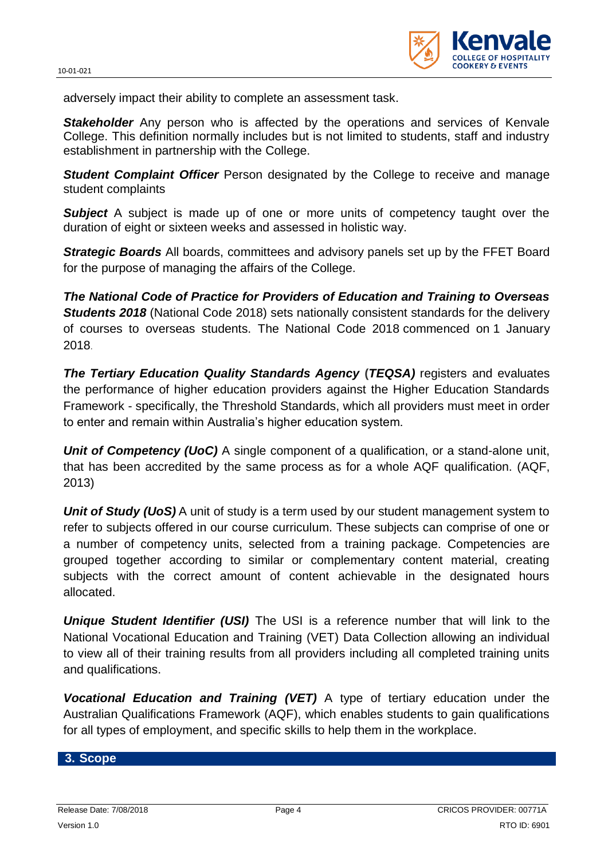

adversely impact their ability to complete an assessment task.

**Stakeholder** Any person who is affected by the operations and services of Kenvale College. This definition normally includes but is not limited to students, staff and industry establishment in partnership with the College.

*Student Complaint Officer* Person designated by the College to receive and manage student complaints

**Subject** A subject is made up of one or more units of competency taught over the duration of eight or sixteen weeks and assessed in holistic way.

**Strategic Boards** All boards, committees and advisory panels set up by the FFET Board for the purpose of managing the affairs of the College.

*The National Code of Practice for Providers of Education and Training to Overseas*  **Students 2018** [\(National Code 2018\)](https://www.legislation.gov.au/Details/F2017L01182) sets nationally consistent standards for the delivery of courses to overseas students. The National Code 2018 commenced on 1 January 2018.

*The Tertiary Education Quality Standards Agency* **(***TEQSA)* registers and evaluates the performance of higher education providers against the Higher Education Standards Framework - specifically, the [Threshold Standards,](http://www.comlaw.gov.au/Series/F2012L00003) which all providers must meet in order to enter and remain within Australia's higher education system.

**Unit of Competency (UoC)** A single component of a qualification, or a stand-alone unit, that has been accredited by the same process as for a whole AQF qualification. (AQF, 2013)

*Unit of Study (UoS)* A unit of study is a term used by our student management system to refer to subjects offered in our course curriculum. These subjects can comprise of one or a number of competency units, selected from a training package. Competencies are grouped together according to similar or complementary content material, creating subjects with the correct amount of content achievable in the designated hours allocated.

*Unique Student Identifier (USI)* The USI is a reference number that will link to the National Vocational Education and Training (VET) Data Collection allowing an individual to view all of their training results from all providers including all completed training units and qualifications.

*Vocational Education and Training (VET)* A type of tertiary education under the Australian Qualifications Framework (AQF), which enables students to gain qualifications for all types of employment, and specific skills to help them in the workplace.

#### **3. Scope**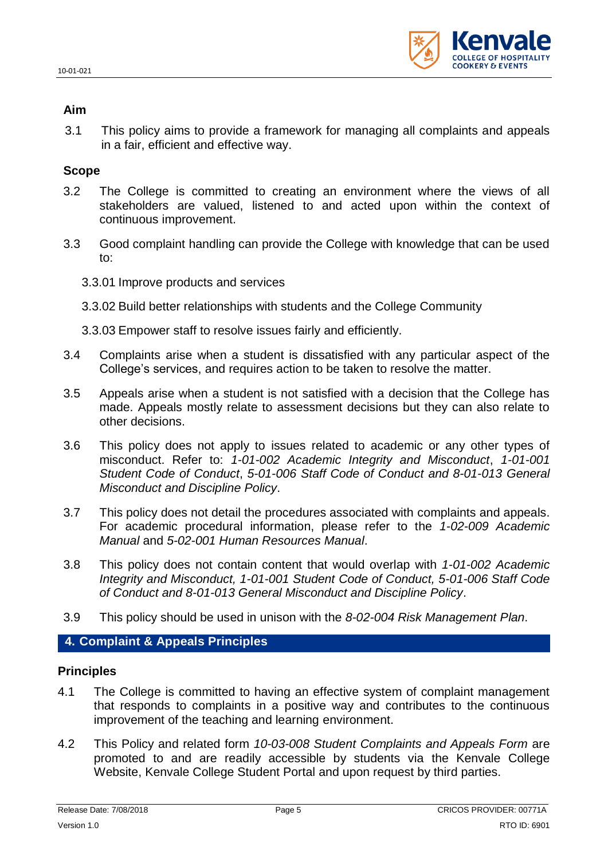

#### **Aim**

3.1 This policy aims to provide a framework for managing all complaints and appeals in a fair, efficient and effective way.

## **Scope**

- 3.2 The College is committed to creating an environment where the views of all stakeholders are valued, listened to and acted upon within the context of continuous improvement.
- 3.3 Good complaint handling can provide the College with knowledge that can be used to:
	- 3.3.01 Improve products and services
	- 3.3.02 Build better relationships with students and the College Community
	- 3.3.03 Empower staff to resolve issues fairly and efficiently.
- 3.4 Complaints arise when a student is dissatisfied with any particular aspect of the College's services, and requires action to be taken to resolve the matter.
- 3.5 Appeals arise when a student is not satisfied with a decision that the College has made. Appeals mostly relate to assessment decisions but they can also relate to other decisions.
- 3.6 This policy does not apply to issues related to academic or any other types of misconduct. Refer to: *1-01-002 Academic Integrity and Misconduct*, *1-01-001 Student Code of Conduct*, *5-01-006 Staff Code of Conduct and 8-01-013 General Misconduct and Discipline Policy*.
- 3.7 This policy does not detail the procedures associated with complaints and appeals. For academic procedural information, please refer to the *1-02-009 Academic Manual* and *5-02-001 Human Resources Manual*.
- 3.8 This policy does not contain content that would overlap with *1-01-002 Academic Integrity and Misconduct, 1-01-001 Student Code of Conduct, 5-01-006 Staff Code of Conduct and 8-01-013 General Misconduct and Discipline Policy*.
- 3.9 This policy should be used in unison with the *8-02-004 Risk Management Plan*.

## **4. Complaint & Appeals Principles**

#### **Principles**

- 4.1 The College is committed to having an effective system of complaint management that responds to complaints in a positive way and contributes to the continuous improvement of the teaching and learning environment.
- 4.2 This Policy and related form *10-03-008 Student Complaints and Appeals Form* are promoted to and are readily accessible by students via the Kenvale College Website, Kenvale College Student Portal and upon request by third parties.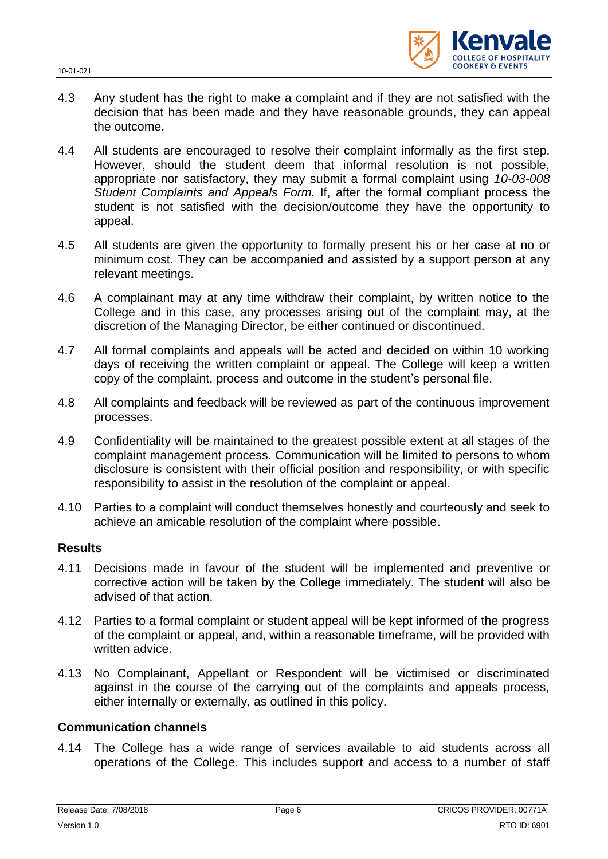

- 4.3 Any student has the right to make a complaint and if they are not satisfied with the decision that has been made and they have reasonable grounds, they can appeal the outcome.
- 4.4 All students are encouraged to resolve their complaint informally as the first step. However, should the student deem that informal resolution is not possible, appropriate nor satisfactory, they may submit a formal complaint using *10-03-008 Student Complaints and Appeals Form.* If, after the formal compliant process the student is not satisfied with the decision/outcome they have the opportunity to appeal.
- 4.5 All students are given the opportunity to formally present his or her case at no or minimum cost. They can be accompanied and assisted by a support person at any relevant meetings.
- 4.6 A complainant may at any time withdraw their complaint, by written notice to the College and in this case, any processes arising out of the complaint may, at the discretion of the Managing Director, be either continued or discontinued.
- 4.7 All formal complaints and appeals will be acted and decided on within 10 working days of receiving the written complaint or appeal. The College will keep a written copy of the complaint, process and outcome in the student's personal file.
- 4.8 All complaints and feedback will be reviewed as part of the continuous improvement processes.
- 4.9 Confidentiality will be maintained to the greatest possible extent at all stages of the complaint management process. Communication will be limited to persons to whom disclosure is consistent with their official position and responsibility, or with specific responsibility to assist in the resolution of the complaint or appeal.
- 4.10 Parties to a complaint will conduct themselves honestly and courteously and seek to achieve an amicable resolution of the complaint where possible.

#### **Results**

- 4.11 Decisions made in favour of the student will be implemented and preventive or corrective action will be taken by the College immediately. The student will also be advised of that action.
- 4.12 Parties to a formal complaint or student appeal will be kept informed of the progress of the complaint or appeal, and, within a reasonable timeframe, will be provided with written advice.
- 4.13 No Complainant, Appellant or Respondent will be victimised or discriminated against in the course of the carrying out of the complaints and appeals process, either internally or externally, as outlined in this policy.

#### **Communication channels**

4.14 The College has a wide range of services available to aid students across all operations of the College. This includes support and access to a number of staff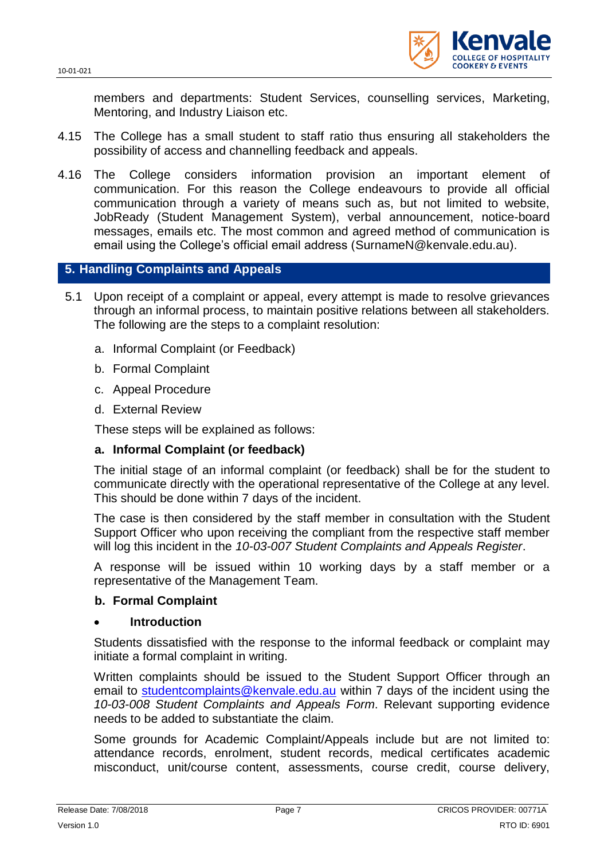

members and departments: Student Services, counselling services, Marketing, Mentoring, and Industry Liaison etc.

- 4.15 The College has a small student to staff ratio thus ensuring all stakeholders the possibility of access and channelling feedback and appeals.
- 4.16 The College considers information provision an important element of communication. For this reason the College endeavours to provide all official communication through a variety of means such as, but not limited to website, JobReady (Student Management System), verbal announcement, notice-board messages, emails etc. The most common and agreed method of communication is email using the College's official email address [\(SurnameN@kenvale.edu.au\)](mailto:SurnameN@kenvale.edu.au).

## **5. Handling Complaints and Appeals**

- 5.1 Upon receipt of a complaint or appeal, every attempt is made to resolve grievances through an informal process, to maintain positive relations between all stakeholders. The following are the steps to a complaint resolution:
	- a. Informal Complaint (or Feedback)
	- b. Formal Complaint
	- c. Appeal Procedure
	- d. External Review

These steps will be explained as follows:

## **a. Informal Complaint (or feedback)**

The initial stage of an informal complaint (or feedback) shall be for the student to communicate directly with the operational representative of the College at any level. This should be done within 7 days of the incident.

The case is then considered by the staff member in consultation with the Student Support Officer who upon receiving the compliant from the respective staff member will log this incident in the *10-03-007 Student Complaints and Appeals Register*.

A response will be issued within 10 working days by a staff member or a representative of the Management Team.

#### **b. Formal Complaint**

#### **Introduction**

Students dissatisfied with the response to the informal feedback or complaint may initiate a formal complaint in writing.

Written complaints should be issued to the Student Support Officer through an email to [studentcomplaints@kenvale.edu.au](mailto:studentcomplaints@kenvale.edu.au) within 7 days of the incident using the *10-03-008 Student Complaints and Appeals Form*. Relevant supporting evidence needs to be added to substantiate the claim.

Some grounds for Academic Complaint/Appeals include but are not limited to: attendance records, enrolment, student records, medical certificates academic misconduct, unit/course content, assessments, course credit, course delivery,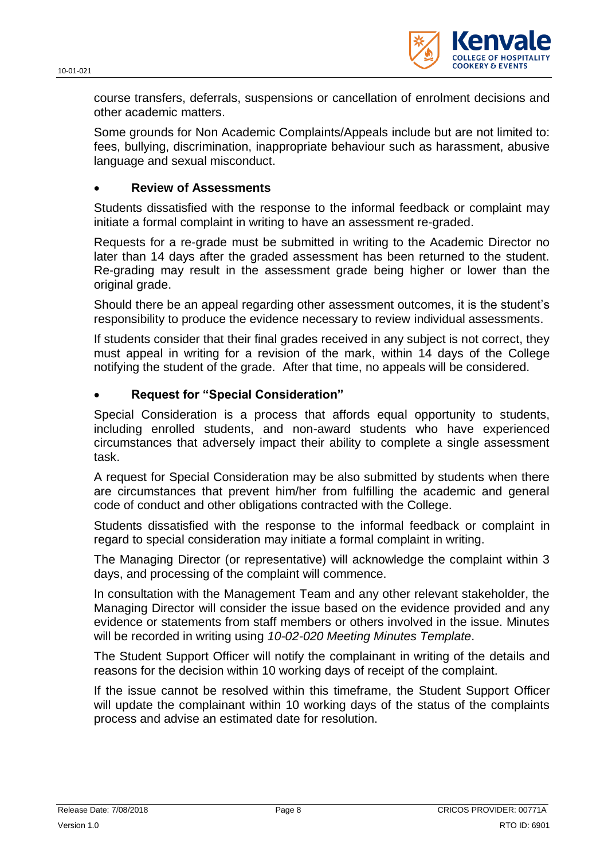

course transfers, deferrals, suspensions or cancellation of enrolment decisions and other academic matters.

Some grounds for Non Academic Complaints/Appeals include but are not limited to: fees, bullying, discrimination, inappropriate behaviour such as harassment, abusive language and sexual misconduct.

## **Review of Assessments**

Students dissatisfied with the response to the informal feedback or complaint may initiate a formal complaint in writing to have an assessment re-graded.

Requests for a re-grade must be submitted in writing to the Academic Director no later than 14 days after the graded assessment has been returned to the student. Re-grading may result in the assessment grade being higher or lower than the original grade.

Should there be an appeal regarding other assessment outcomes, it is the student's responsibility to produce the evidence necessary to review individual assessments.

If students consider that their final grades received in any subject is not correct, they must appeal in writing for a revision of the mark, within 14 days of the College notifying the student of the grade. After that time, no appeals will be considered.

## **Request for "Special Consideration"**

Special Consideration is a process that affords equal opportunity to students, including enrolled students, and non-award students who have experienced circumstances that adversely impact their ability to complete a single assessment task.

A request for Special Consideration may be also submitted by students when there are circumstances that prevent him/her from fulfilling the academic and general code of conduct and other obligations contracted with the College.

Students dissatisfied with the response to the informal feedback or complaint in regard to special consideration may initiate a formal complaint in writing.

The Managing Director (or representative) will acknowledge the complaint within 3 days, and processing of the complaint will commence.

In consultation with the Management Team and any other relevant stakeholder, the Managing Director will consider the issue based on the evidence provided and any evidence or statements from staff members or others involved in the issue. Minutes will be recorded in writing using *10-02-020 Meeting Minutes Template*.

The Student Support Officer will notify the complainant in writing of the details and reasons for the decision within 10 working days of receipt of the complaint.

If the issue cannot be resolved within this timeframe, the Student Support Officer will update the complainant within 10 working days of the status of the complaints process and advise an estimated date for resolution.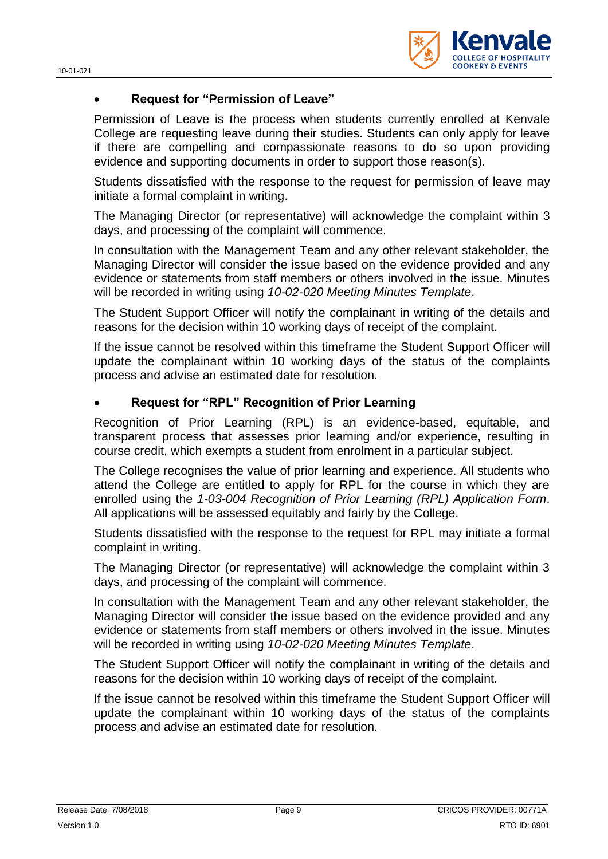

#### **Request for "Permission of Leave"**

Permission of Leave is the process when students currently enrolled at Kenvale College are requesting leave during their studies. Students can only apply for leave if there are compelling and compassionate reasons to do so upon providing evidence and supporting documents in order to support those reason(s).

Students dissatisfied with the response to the request for permission of leave may initiate a formal complaint in writing.

The Managing Director (or representative) will acknowledge the complaint within 3 days, and processing of the complaint will commence.

In consultation with the Management Team and any other relevant stakeholder, the Managing Director will consider the issue based on the evidence provided and any evidence or statements from staff members or others involved in the issue. Minutes will be recorded in writing using *10-02-020 Meeting Minutes Template*.

The Student Support Officer will notify the complainant in writing of the details and reasons for the decision within 10 working days of receipt of the complaint.

If the issue cannot be resolved within this timeframe the Student Support Officer will update the complainant within 10 working days of the status of the complaints process and advise an estimated date for resolution.

### **Request for "RPL" Recognition of Prior Learning**

Recognition of Prior Learning (RPL) is an evidence-based, equitable, and transparent process that assesses prior learning and/or experience, resulting in course credit, which exempts a student from enrolment in a particular subject.

The College recognises the value of prior learning and experience. All students who attend the College are entitled to apply for RPL for the course in which they are enrolled using the *1-03-004 Recognition of Prior Learning (RPL) Application Form*. All applications will be assessed equitably and fairly by the College.

Students dissatisfied with the response to the request for RPL may initiate a formal complaint in writing.

The Managing Director (or representative) will acknowledge the complaint within 3 days, and processing of the complaint will commence.

In consultation with the Management Team and any other relevant stakeholder, the Managing Director will consider the issue based on the evidence provided and any evidence or statements from staff members or others involved in the issue. Minutes will be recorded in writing using *10-02-020 Meeting Minutes Template*.

The Student Support Officer will notify the complainant in writing of the details and reasons for the decision within 10 working days of receipt of the complaint.

If the issue cannot be resolved within this timeframe the Student Support Officer will update the complainant within 10 working days of the status of the complaints process and advise an estimated date for resolution.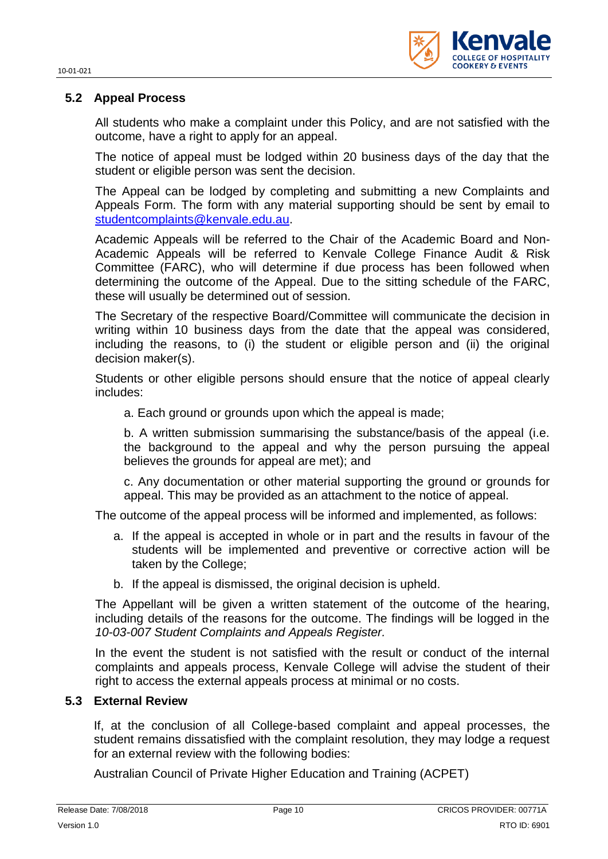

## **5.2 Appeal Process**

All students who make a complaint under this Policy, and are not satisfied with the outcome, have a right to apply for an appeal.

The notice of appeal must be lodged within 20 business days of the day that the student or eligible person was sent the decision.

The Appeal can be lodged by completing and submitting a new Complaints and Appeals Form. The form with any material supporting should be sent by email to [studentcomplaints@kenvale.edu.au.](mailto:studentcomplaints@kenvale.edu.au)

Academic Appeals will be referred to the Chair of the Academic Board and Non-Academic Appeals will be referred to Kenvale College Finance Audit & Risk Committee (FARC), who will determine if due process has been followed when determining the outcome of the Appeal. Due to the sitting schedule of the FARC, these will usually be determined out of session.

The Secretary of the respective Board/Committee will communicate the decision in writing within 10 business days from the date that the appeal was considered, including the reasons, to (i) the student or eligible person and (ii) the original decision maker(s).

Students or other eligible persons should ensure that the notice of appeal clearly includes:

a. Each ground or grounds upon which the appeal is made;

b. A written submission summarising the substance/basis of the appeal (i.e. the background to the appeal and why the person pursuing the appeal believes the grounds for appeal are met); and

c. Any documentation or other material supporting the ground or grounds for appeal. This may be provided as an attachment to the notice of appeal.

The outcome of the appeal process will be informed and implemented, as follows:

- a. If the appeal is accepted in whole or in part and the results in favour of the students will be implemented and preventive or corrective action will be taken by the College;
- b. If the appeal is dismissed, the original decision is upheld.

The Appellant will be given a written statement of the outcome of the hearing, including details of the reasons for the outcome. The findings will be logged in the *10-03-007 Student Complaints and Appeals Register.*

In the event the student is not satisfied with the result or conduct of the internal complaints and appeals process, Kenvale College will advise the student of their right to access the external appeals process at minimal or no costs.

#### **5.3 External Review**

If, at the conclusion of all College-based complaint and appeal processes, the student remains dissatisfied with the complaint resolution, they may lodge a request for an external review with the following bodies:

Australian Council of Private Higher Education and Training (ACPET)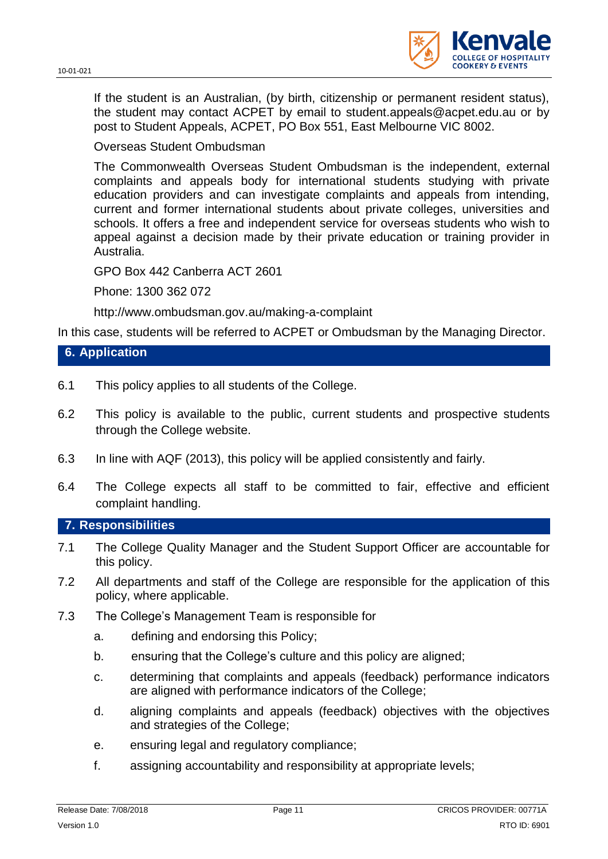

If the student is an Australian, (by birth, citizenship or permanent resident status), the student may contact ACPET by email to student.appeals@acpet.edu.au or by post to Student Appeals, ACPET, PO Box 551, East Melbourne VIC 8002.

#### Overseas Student Ombudsman

The Commonwealth Overseas Student Ombudsman is the independent, external complaints and appeals body for international students studying with private education providers and can investigate complaints and appeals from intending, current and former international students about private colleges, universities and schools. It offers a free and independent service for overseas students who wish to appeal against a decision made by their private education or training provider in Australia.

GPO Box 442 Canberra ACT 2601

Phone: 1300 362 072

http://www.ombudsman.gov.au/making-a-complaint

In this case, students will be referred to ACPET or Ombudsman by the Managing Director.

## **6. Application**

- 6.1 This policy applies to all students of the College.
- 6.2 This policy is available to the public, current students and prospective students through the College website.
- 6.3 In line with AQF (2013), this policy will be applied consistently and fairly.
- 6.4 The College expects all staff to be committed to fair, effective and efficient complaint handling.

#### **7. Responsibilities**

- 7.1 The College Quality Manager and the Student Support Officer are accountable for this policy.
- 7.2 All departments and staff of the College are responsible for the application of this policy, where applicable.
- 7.3 The College's Management Team is responsible for
	- a. defining and endorsing this Policy;
	- b. ensuring that the College's culture and this policy are aligned;
	- c. determining that complaints and appeals (feedback) performance indicators are aligned with performance indicators of the College;
	- d. aligning complaints and appeals (feedback) objectives with the objectives and strategies of the College;
	- e. ensuring legal and regulatory compliance;
	- f. assigning accountability and responsibility at appropriate levels;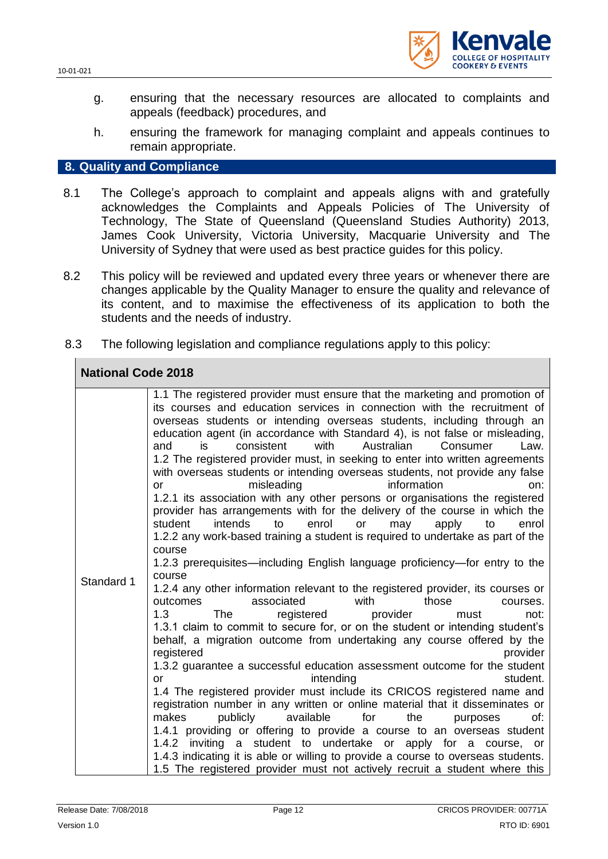

- g. ensuring that the necessary resources are allocated to complaints and appeals (feedback) procedures, and
- h. ensuring the framework for managing complaint and appeals continues to remain appropriate.

#### **8. Quality and Compliance**

- 8.1 The College's approach to complaint and appeals aligns with and gratefully acknowledges the Complaints and Appeals Policies of The University of Technology, The State of Queensland (Queensland Studies Authority) 2013, James Cook University, Victoria University, Macquarie University and The University of Sydney that were used as best practice guides for this policy.
- 8.2 This policy will be reviewed and updated every three years or whenever there are changes applicable by the Quality Manager to ensure the quality and relevance of its content, and to maximise the effectiveness of its application to both the students and the needs of industry.
- 8.3 The following legislation and compliance regulations apply to this policy:

| <b>National Code 2018</b> |                                                                                                                                                                                                                                                                                                                                                                                                                                                                                                                                                                                                                                                                                                                                                                                                                                                                                                                                                                                                                                                                                                                                                                                                                                                                                                                                                                                                                                                                                                                                                                                                                                                                                                                                                                                                                                                                                                                                                                                                                                                                                  |  |
|---------------------------|----------------------------------------------------------------------------------------------------------------------------------------------------------------------------------------------------------------------------------------------------------------------------------------------------------------------------------------------------------------------------------------------------------------------------------------------------------------------------------------------------------------------------------------------------------------------------------------------------------------------------------------------------------------------------------------------------------------------------------------------------------------------------------------------------------------------------------------------------------------------------------------------------------------------------------------------------------------------------------------------------------------------------------------------------------------------------------------------------------------------------------------------------------------------------------------------------------------------------------------------------------------------------------------------------------------------------------------------------------------------------------------------------------------------------------------------------------------------------------------------------------------------------------------------------------------------------------------------------------------------------------------------------------------------------------------------------------------------------------------------------------------------------------------------------------------------------------------------------------------------------------------------------------------------------------------------------------------------------------------------------------------------------------------------------------------------------------|--|
| Standard 1                | 1.1 The registered provider must ensure that the marketing and promotion of<br>its courses and education services in connection with the recruitment of<br>overseas students or intending overseas students, including through an<br>education agent (in accordance with Standard 4), is not false or misleading,<br>with<br>Australian<br>Consumer<br>is<br>consistent<br>and<br>Law.<br>1.2 The registered provider must, in seeking to enter into written agreements<br>with overseas students or intending overseas students, not provide any false<br>misleading<br>information<br>on:<br>or<br>1.2.1 its association with any other persons or organisations the registered<br>provider has arrangements with for the delivery of the course in which the<br>intends<br>student<br>to<br>enrol<br>or<br>may<br>apply<br>to<br>enrol<br>1.2.2 any work-based training a student is required to undertake as part of the<br>course<br>1.2.3 prerequisites—including English language proficiency—for entry to the<br>course<br>1.2.4 any other information relevant to the registered provider, its courses or<br>associated<br>with<br>those<br>outcomes<br>courses.<br>1.3<br>registered<br>provider<br>The<br>must<br>not:<br>1.3.1 claim to commit to secure for, or on the student or intending student's<br>behalf, a migration outcome from undertaking any course offered by the<br>registered<br>provider<br>1.3.2 guarantee a successful education assessment outcome for the student<br>intending<br>student.<br>or<br>1.4 The registered provider must include its CRICOS registered name and<br>registration number in any written or online material that it disseminates or<br>publicly<br>available<br>for<br>the<br>makes<br>of:<br>purposes<br>1.4.1 providing or offering to provide a course to an overseas student<br>1.4.2 inviting a student to undertake or apply for a course, or<br>1.4.3 indicating it is able or willing to provide a course to overseas students.<br>1.5 The registered provider must not actively recruit a student where this |  |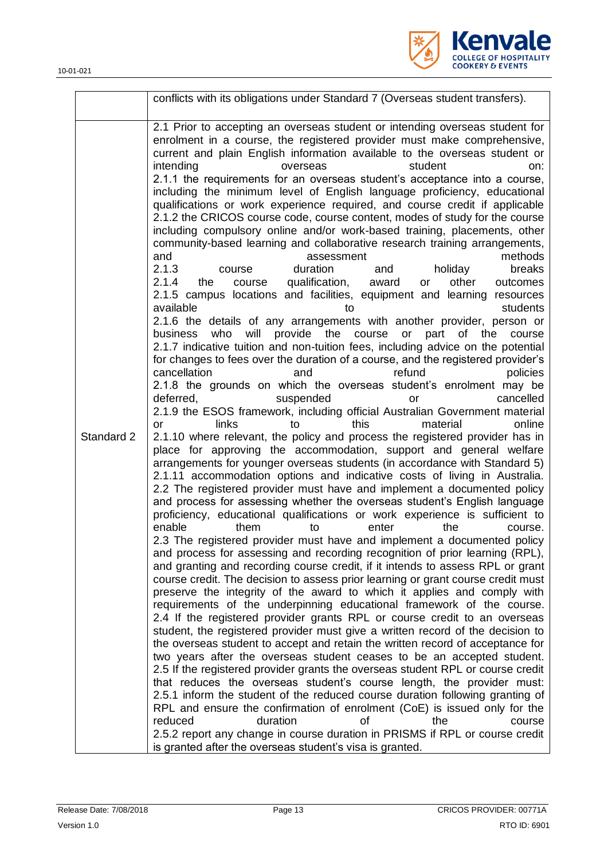10-01-021

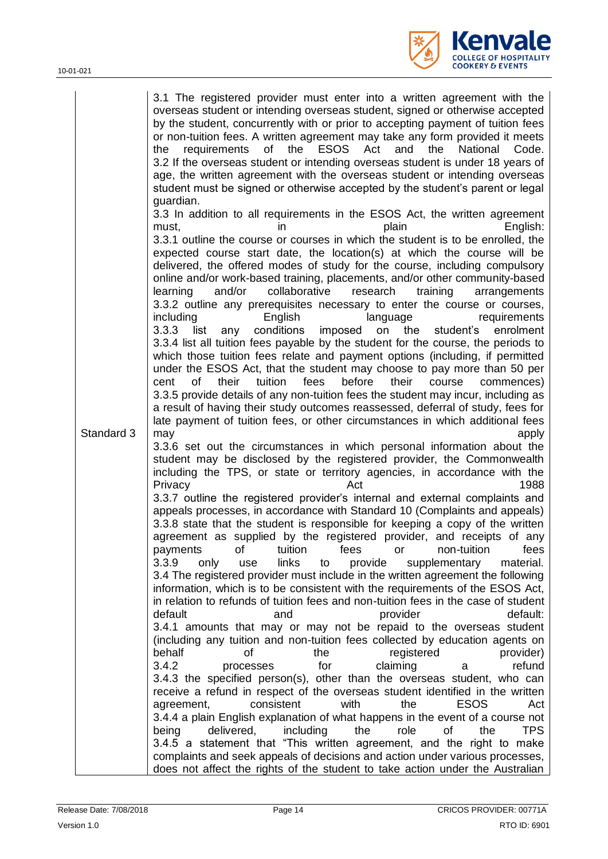

|            | 3.1 The registered provider must enter into a written agreement with the<br>overseas student or intending overseas student, signed or otherwise accepted<br>by the student, concurrently with or prior to accepting payment of tuition fees<br>or non-tuition fees. A written agreement may take any form provided it meets<br>of the<br><b>ESOS</b><br>Act<br>and<br>the<br>National<br>the<br>requirements<br>Code.<br>3.2 If the overseas student or intending overseas student is under 18 years of<br>age, the written agreement with the overseas student or intending overseas<br>student must be signed or otherwise accepted by the student's parent or legal<br>guardian.<br>3.3 In addition to all requirements in the ESOS Act, the written agreement<br>plain<br>English:<br>must.<br>ın                                                                                                                                                                                                                                                                                                                                        |
|------------|----------------------------------------------------------------------------------------------------------------------------------------------------------------------------------------------------------------------------------------------------------------------------------------------------------------------------------------------------------------------------------------------------------------------------------------------------------------------------------------------------------------------------------------------------------------------------------------------------------------------------------------------------------------------------------------------------------------------------------------------------------------------------------------------------------------------------------------------------------------------------------------------------------------------------------------------------------------------------------------------------------------------------------------------------------------------------------------------------------------------------------------------|
|            | 3.3.1 outline the course or courses in which the student is to be enrolled, the<br>expected course start date, the location(s) at which the course will be<br>delivered, the offered modes of study for the course, including compulsory<br>online and/or work-based training, placements, and/or other community-based<br>and/or<br>collaborative<br>research<br>training<br>learning<br>arrangements<br>3.3.2 outline any prerequisites necessary to enter the course or courses,<br>English<br>including<br>language<br>requirements<br>3.3.3<br>conditions<br>imposed<br>list<br>on<br>the<br>student's<br>enrolment<br>any<br>3.3.4 list all tuition fees payable by the student for the course, the periods to<br>which those tuition fees relate and payment options (including, if permitted<br>under the ESOS Act, that the student may choose to pay more than 50 per<br>of<br>their<br>tuition<br>fees<br>before<br>their<br>cent<br>course<br>commences)<br>3.3.5 provide details of any non-tuition fees the student may incur, including as<br>a result of having their study outcomes reassessed, deferral of study, fees for |
| Standard 3 | late payment of tuition fees, or other circumstances in which additional fees<br>apply<br>may<br>3.3.6 set out the circumstances in which personal information about the<br>student may be disclosed by the registered provider, the Commonwealth<br>including the TPS, or state or territory agencies, in accordance with the                                                                                                                                                                                                                                                                                                                                                                                                                                                                                                                                                                                                                                                                                                                                                                                                               |
|            | Act<br>1988<br>Privacy<br>3.3.7 outline the registered provider's internal and external complaints and<br>appeals processes, in accordance with Standard 10 (Complaints and appeals)<br>3.3.8 state that the student is responsible for keeping a copy of the written<br>agreement as supplied by the registered provider, and receipts of any<br>tuition<br>fees<br>non-tuition<br>fees<br>payments<br>οf<br>or<br>3.3.9<br>links<br>material.<br>only<br>to<br>provide<br>supplementary<br>use<br>3.4 The registered provider must include in the written agreement the following<br>information, which is to be consistent with the requirements of the ESOS Act,<br>in relation to refunds of tuition fees and non-tuition fees in the case of student<br>default<br>provider<br>default:<br>and                                                                                                                                                                                                                                                                                                                                         |
|            | 3.4.1 amounts that may or may not be repaid to the overseas student<br>(including any tuition and non-tuition fees collected by education agents on<br>registered<br>behalf<br>οf<br>the<br>provider)<br>3.4.2<br>for<br>claiming<br>refund<br>processes<br>а<br>3.4.3 the specified person(s), other than the overseas student, who can<br>receive a refund in respect of the overseas student identified in the written<br>agreement,<br>consistent<br>with<br>the<br><b>ESOS</b><br>Act                                                                                                                                                                                                                                                                                                                                                                                                                                                                                                                                                                                                                                                   |
|            | 3.4.4 a plain English explanation of what happens in the event of a course not<br><b>TPS</b><br>delivered,<br>including<br>the<br>role<br>of<br>being<br>the<br>3.4.5 a statement that "This written agreement, and the right to make<br>complaints and seek appeals of decisions and action under various processes,<br>does not affect the rights of the student to take action under the Australian                                                                                                                                                                                                                                                                                                                                                                                                                                                                                                                                                                                                                                                                                                                                       |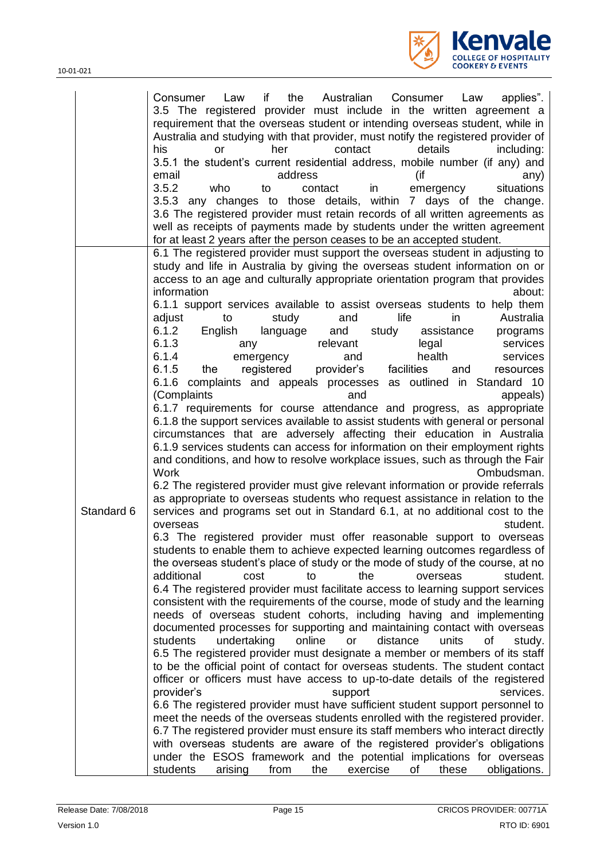

| 3.5 The registered provider must include in the written agreement a<br>requirement that the overseas student or intending overseas student, while in<br>Australia and studying with that provider, must notify the registered provider of<br>his<br>contact<br>details<br>including:<br>her<br><b>or</b><br>3.5.1 the student's current residential address, mobile number (if any) and<br>address<br>(if<br>email<br>any)<br>3.5.2<br>who<br>in<br>situations<br>contact<br>emergency<br>to<br>3.5.3 any changes to those details, within 7 days of the change.<br>3.6 The registered provider must retain records of all written agreements as<br>well as receipts of payments made by students under the written agreement<br>for at least 2 years after the person ceases to be an accepted student.<br>6.1 The registered provider must support the overseas student in adjusting to<br>study and life in Australia by giving the overseas student information on or<br>access to an age and culturally appropriate orientation program that provides<br>information<br>about:<br>6.1.1 support services available to assist overseas students to help them<br>adjust<br>study<br>life<br>Australia<br>and<br>in<br>to<br>6.1.2<br>English<br>language<br>and<br>study<br>assistance<br>programs<br>6.1.3<br>relevant<br>services<br>legal<br>any<br>6.1.4<br>health<br>services<br>emergency<br>and<br>6.1.5<br>provider's<br>facilities<br>registered<br>the<br>and<br>resources<br>6.1.6 complaints and appeals processes as outlined in Standard 10<br>(Complaints<br>and<br>appeals)<br>6.1.7 requirements for course attendance and progress, as appropriate<br>6.1.8 the support services available to assist students with general or personal<br>circumstances that are adversely affecting their education in Australia<br>6.1.9 services students can access for information on their employment rights<br>and conditions, and how to resolve workplace issues, such as through the Fair<br>Work<br>Ombudsman.<br>6.2 The registered provider must give relevant information or provide referrals<br>as appropriate to overseas students who request assistance in relation to the<br>Standard 6<br>services and programs set out in Standard 6.1, at no additional cost to the<br>student.<br>overseas<br>6.3 The registered provider must offer reasonable support to overseas<br>students to enable them to achieve expected learning outcomes regardless of<br>the overseas student's place of study or the mode of study of the course, at no<br>additional<br>the<br>student.<br>cost<br>overseas<br>to<br>6.4 The registered provider must facilitate access to learning support services<br>consistent with the requirements of the course, mode of study and the learning<br>needs of overseas student cohorts, including having and implementing<br>documented processes for supporting and maintaining contact with overseas<br>students<br>undertaking<br>online<br>distance<br>units<br>of<br>study.<br>or<br>6.5 The registered provider must designate a member or members of its staff<br>to be the official point of contact for overseas students. The student contact<br>officer or officers must have access to up-to-date details of the registered<br>provider's<br>support<br>services.<br>6.6 The registered provider must have sufficient student support personnel to<br>meet the needs of the overseas students enrolled with the registered provider.<br>6.7 The registered provider must ensure its staff members who interact directly<br>with overseas students are aware of the registered provider's obligations<br>under the ESOS framework and the potential implications for overseas | the<br>Australian<br>Consumer<br>applies".<br>Consumer<br>Law<br>if<br>Law |
|-------------------------------------------------------------------------------------------------------------------------------------------------------------------------------------------------------------------------------------------------------------------------------------------------------------------------------------------------------------------------------------------------------------------------------------------------------------------------------------------------------------------------------------------------------------------------------------------------------------------------------------------------------------------------------------------------------------------------------------------------------------------------------------------------------------------------------------------------------------------------------------------------------------------------------------------------------------------------------------------------------------------------------------------------------------------------------------------------------------------------------------------------------------------------------------------------------------------------------------------------------------------------------------------------------------------------------------------------------------------------------------------------------------------------------------------------------------------------------------------------------------------------------------------------------------------------------------------------------------------------------------------------------------------------------------------------------------------------------------------------------------------------------------------------------------------------------------------------------------------------------------------------------------------------------------------------------------------------------------------------------------------------------------------------------------------------------------------------------------------------------------------------------------------------------------------------------------------------------------------------------------------------------------------------------------------------------------------------------------------------------------------------------------------------------------------------------------------------------------------------------------------------------------------------------------------------------------------------------------------------------------------------------------------------------------------------------------------------------------------------------------------------------------------------------------------------------------------------------------------------------------------------------------------------------------------------------------------------------------------------------------------------------------------------------------------------------------------------------------------------------------------------------------------------------------------------------------------------------------------------------------------------------------------------------------------------------------------------------------------------------------------------------------------------------------------------------------------------------------------------------------------------------------------------------------------------------------------------------------------------------------------------------------------------------------------------------------------------------------------|----------------------------------------------------------------------------|
|                                                                                                                                                                                                                                                                                                                                                                                                                                                                                                                                                                                                                                                                                                                                                                                                                                                                                                                                                                                                                                                                                                                                                                                                                                                                                                                                                                                                                                                                                                                                                                                                                                                                                                                                                                                                                                                                                                                                                                                                                                                                                                                                                                                                                                                                                                                                                                                                                                                                                                                                                                                                                                                                                                                                                                                                                                                                                                                                                                                                                                                                                                                                                                                                                                                                                                                                                                                                                                                                                                                                                                                                                                                                                                                                           |                                                                            |
|                                                                                                                                                                                                                                                                                                                                                                                                                                                                                                                                                                                                                                                                                                                                                                                                                                                                                                                                                                                                                                                                                                                                                                                                                                                                                                                                                                                                                                                                                                                                                                                                                                                                                                                                                                                                                                                                                                                                                                                                                                                                                                                                                                                                                                                                                                                                                                                                                                                                                                                                                                                                                                                                                                                                                                                                                                                                                                                                                                                                                                                                                                                                                                                                                                                                                                                                                                                                                                                                                                                                                                                                                                                                                                                                           |                                                                            |
|                                                                                                                                                                                                                                                                                                                                                                                                                                                                                                                                                                                                                                                                                                                                                                                                                                                                                                                                                                                                                                                                                                                                                                                                                                                                                                                                                                                                                                                                                                                                                                                                                                                                                                                                                                                                                                                                                                                                                                                                                                                                                                                                                                                                                                                                                                                                                                                                                                                                                                                                                                                                                                                                                                                                                                                                                                                                                                                                                                                                                                                                                                                                                                                                                                                                                                                                                                                                                                                                                                                                                                                                                                                                                                                                           |                                                                            |
|                                                                                                                                                                                                                                                                                                                                                                                                                                                                                                                                                                                                                                                                                                                                                                                                                                                                                                                                                                                                                                                                                                                                                                                                                                                                                                                                                                                                                                                                                                                                                                                                                                                                                                                                                                                                                                                                                                                                                                                                                                                                                                                                                                                                                                                                                                                                                                                                                                                                                                                                                                                                                                                                                                                                                                                                                                                                                                                                                                                                                                                                                                                                                                                                                                                                                                                                                                                                                                                                                                                                                                                                                                                                                                                                           |                                                                            |
|                                                                                                                                                                                                                                                                                                                                                                                                                                                                                                                                                                                                                                                                                                                                                                                                                                                                                                                                                                                                                                                                                                                                                                                                                                                                                                                                                                                                                                                                                                                                                                                                                                                                                                                                                                                                                                                                                                                                                                                                                                                                                                                                                                                                                                                                                                                                                                                                                                                                                                                                                                                                                                                                                                                                                                                                                                                                                                                                                                                                                                                                                                                                                                                                                                                                                                                                                                                                                                                                                                                                                                                                                                                                                                                                           |                                                                            |
|                                                                                                                                                                                                                                                                                                                                                                                                                                                                                                                                                                                                                                                                                                                                                                                                                                                                                                                                                                                                                                                                                                                                                                                                                                                                                                                                                                                                                                                                                                                                                                                                                                                                                                                                                                                                                                                                                                                                                                                                                                                                                                                                                                                                                                                                                                                                                                                                                                                                                                                                                                                                                                                                                                                                                                                                                                                                                                                                                                                                                                                                                                                                                                                                                                                                                                                                                                                                                                                                                                                                                                                                                                                                                                                                           |                                                                            |
|                                                                                                                                                                                                                                                                                                                                                                                                                                                                                                                                                                                                                                                                                                                                                                                                                                                                                                                                                                                                                                                                                                                                                                                                                                                                                                                                                                                                                                                                                                                                                                                                                                                                                                                                                                                                                                                                                                                                                                                                                                                                                                                                                                                                                                                                                                                                                                                                                                                                                                                                                                                                                                                                                                                                                                                                                                                                                                                                                                                                                                                                                                                                                                                                                                                                                                                                                                                                                                                                                                                                                                                                                                                                                                                                           |                                                                            |
|                                                                                                                                                                                                                                                                                                                                                                                                                                                                                                                                                                                                                                                                                                                                                                                                                                                                                                                                                                                                                                                                                                                                                                                                                                                                                                                                                                                                                                                                                                                                                                                                                                                                                                                                                                                                                                                                                                                                                                                                                                                                                                                                                                                                                                                                                                                                                                                                                                                                                                                                                                                                                                                                                                                                                                                                                                                                                                                                                                                                                                                                                                                                                                                                                                                                                                                                                                                                                                                                                                                                                                                                                                                                                                                                           |                                                                            |
|                                                                                                                                                                                                                                                                                                                                                                                                                                                                                                                                                                                                                                                                                                                                                                                                                                                                                                                                                                                                                                                                                                                                                                                                                                                                                                                                                                                                                                                                                                                                                                                                                                                                                                                                                                                                                                                                                                                                                                                                                                                                                                                                                                                                                                                                                                                                                                                                                                                                                                                                                                                                                                                                                                                                                                                                                                                                                                                                                                                                                                                                                                                                                                                                                                                                                                                                                                                                                                                                                                                                                                                                                                                                                                                                           |                                                                            |
|                                                                                                                                                                                                                                                                                                                                                                                                                                                                                                                                                                                                                                                                                                                                                                                                                                                                                                                                                                                                                                                                                                                                                                                                                                                                                                                                                                                                                                                                                                                                                                                                                                                                                                                                                                                                                                                                                                                                                                                                                                                                                                                                                                                                                                                                                                                                                                                                                                                                                                                                                                                                                                                                                                                                                                                                                                                                                                                                                                                                                                                                                                                                                                                                                                                                                                                                                                                                                                                                                                                                                                                                                                                                                                                                           |                                                                            |
|                                                                                                                                                                                                                                                                                                                                                                                                                                                                                                                                                                                                                                                                                                                                                                                                                                                                                                                                                                                                                                                                                                                                                                                                                                                                                                                                                                                                                                                                                                                                                                                                                                                                                                                                                                                                                                                                                                                                                                                                                                                                                                                                                                                                                                                                                                                                                                                                                                                                                                                                                                                                                                                                                                                                                                                                                                                                                                                                                                                                                                                                                                                                                                                                                                                                                                                                                                                                                                                                                                                                                                                                                                                                                                                                           |                                                                            |
|                                                                                                                                                                                                                                                                                                                                                                                                                                                                                                                                                                                                                                                                                                                                                                                                                                                                                                                                                                                                                                                                                                                                                                                                                                                                                                                                                                                                                                                                                                                                                                                                                                                                                                                                                                                                                                                                                                                                                                                                                                                                                                                                                                                                                                                                                                                                                                                                                                                                                                                                                                                                                                                                                                                                                                                                                                                                                                                                                                                                                                                                                                                                                                                                                                                                                                                                                                                                                                                                                                                                                                                                                                                                                                                                           |                                                                            |
|                                                                                                                                                                                                                                                                                                                                                                                                                                                                                                                                                                                                                                                                                                                                                                                                                                                                                                                                                                                                                                                                                                                                                                                                                                                                                                                                                                                                                                                                                                                                                                                                                                                                                                                                                                                                                                                                                                                                                                                                                                                                                                                                                                                                                                                                                                                                                                                                                                                                                                                                                                                                                                                                                                                                                                                                                                                                                                                                                                                                                                                                                                                                                                                                                                                                                                                                                                                                                                                                                                                                                                                                                                                                                                                                           |                                                                            |
|                                                                                                                                                                                                                                                                                                                                                                                                                                                                                                                                                                                                                                                                                                                                                                                                                                                                                                                                                                                                                                                                                                                                                                                                                                                                                                                                                                                                                                                                                                                                                                                                                                                                                                                                                                                                                                                                                                                                                                                                                                                                                                                                                                                                                                                                                                                                                                                                                                                                                                                                                                                                                                                                                                                                                                                                                                                                                                                                                                                                                                                                                                                                                                                                                                                                                                                                                                                                                                                                                                                                                                                                                                                                                                                                           |                                                                            |
|                                                                                                                                                                                                                                                                                                                                                                                                                                                                                                                                                                                                                                                                                                                                                                                                                                                                                                                                                                                                                                                                                                                                                                                                                                                                                                                                                                                                                                                                                                                                                                                                                                                                                                                                                                                                                                                                                                                                                                                                                                                                                                                                                                                                                                                                                                                                                                                                                                                                                                                                                                                                                                                                                                                                                                                                                                                                                                                                                                                                                                                                                                                                                                                                                                                                                                                                                                                                                                                                                                                                                                                                                                                                                                                                           |                                                                            |
|                                                                                                                                                                                                                                                                                                                                                                                                                                                                                                                                                                                                                                                                                                                                                                                                                                                                                                                                                                                                                                                                                                                                                                                                                                                                                                                                                                                                                                                                                                                                                                                                                                                                                                                                                                                                                                                                                                                                                                                                                                                                                                                                                                                                                                                                                                                                                                                                                                                                                                                                                                                                                                                                                                                                                                                                                                                                                                                                                                                                                                                                                                                                                                                                                                                                                                                                                                                                                                                                                                                                                                                                                                                                                                                                           |                                                                            |
|                                                                                                                                                                                                                                                                                                                                                                                                                                                                                                                                                                                                                                                                                                                                                                                                                                                                                                                                                                                                                                                                                                                                                                                                                                                                                                                                                                                                                                                                                                                                                                                                                                                                                                                                                                                                                                                                                                                                                                                                                                                                                                                                                                                                                                                                                                                                                                                                                                                                                                                                                                                                                                                                                                                                                                                                                                                                                                                                                                                                                                                                                                                                                                                                                                                                                                                                                                                                                                                                                                                                                                                                                                                                                                                                           |                                                                            |
|                                                                                                                                                                                                                                                                                                                                                                                                                                                                                                                                                                                                                                                                                                                                                                                                                                                                                                                                                                                                                                                                                                                                                                                                                                                                                                                                                                                                                                                                                                                                                                                                                                                                                                                                                                                                                                                                                                                                                                                                                                                                                                                                                                                                                                                                                                                                                                                                                                                                                                                                                                                                                                                                                                                                                                                                                                                                                                                                                                                                                                                                                                                                                                                                                                                                                                                                                                                                                                                                                                                                                                                                                                                                                                                                           |                                                                            |
|                                                                                                                                                                                                                                                                                                                                                                                                                                                                                                                                                                                                                                                                                                                                                                                                                                                                                                                                                                                                                                                                                                                                                                                                                                                                                                                                                                                                                                                                                                                                                                                                                                                                                                                                                                                                                                                                                                                                                                                                                                                                                                                                                                                                                                                                                                                                                                                                                                                                                                                                                                                                                                                                                                                                                                                                                                                                                                                                                                                                                                                                                                                                                                                                                                                                                                                                                                                                                                                                                                                                                                                                                                                                                                                                           |                                                                            |
|                                                                                                                                                                                                                                                                                                                                                                                                                                                                                                                                                                                                                                                                                                                                                                                                                                                                                                                                                                                                                                                                                                                                                                                                                                                                                                                                                                                                                                                                                                                                                                                                                                                                                                                                                                                                                                                                                                                                                                                                                                                                                                                                                                                                                                                                                                                                                                                                                                                                                                                                                                                                                                                                                                                                                                                                                                                                                                                                                                                                                                                                                                                                                                                                                                                                                                                                                                                                                                                                                                                                                                                                                                                                                                                                           |                                                                            |
|                                                                                                                                                                                                                                                                                                                                                                                                                                                                                                                                                                                                                                                                                                                                                                                                                                                                                                                                                                                                                                                                                                                                                                                                                                                                                                                                                                                                                                                                                                                                                                                                                                                                                                                                                                                                                                                                                                                                                                                                                                                                                                                                                                                                                                                                                                                                                                                                                                                                                                                                                                                                                                                                                                                                                                                                                                                                                                                                                                                                                                                                                                                                                                                                                                                                                                                                                                                                                                                                                                                                                                                                                                                                                                                                           |                                                                            |
|                                                                                                                                                                                                                                                                                                                                                                                                                                                                                                                                                                                                                                                                                                                                                                                                                                                                                                                                                                                                                                                                                                                                                                                                                                                                                                                                                                                                                                                                                                                                                                                                                                                                                                                                                                                                                                                                                                                                                                                                                                                                                                                                                                                                                                                                                                                                                                                                                                                                                                                                                                                                                                                                                                                                                                                                                                                                                                                                                                                                                                                                                                                                                                                                                                                                                                                                                                                                                                                                                                                                                                                                                                                                                                                                           |                                                                            |
|                                                                                                                                                                                                                                                                                                                                                                                                                                                                                                                                                                                                                                                                                                                                                                                                                                                                                                                                                                                                                                                                                                                                                                                                                                                                                                                                                                                                                                                                                                                                                                                                                                                                                                                                                                                                                                                                                                                                                                                                                                                                                                                                                                                                                                                                                                                                                                                                                                                                                                                                                                                                                                                                                                                                                                                                                                                                                                                                                                                                                                                                                                                                                                                                                                                                                                                                                                                                                                                                                                                                                                                                                                                                                                                                           |                                                                            |
|                                                                                                                                                                                                                                                                                                                                                                                                                                                                                                                                                                                                                                                                                                                                                                                                                                                                                                                                                                                                                                                                                                                                                                                                                                                                                                                                                                                                                                                                                                                                                                                                                                                                                                                                                                                                                                                                                                                                                                                                                                                                                                                                                                                                                                                                                                                                                                                                                                                                                                                                                                                                                                                                                                                                                                                                                                                                                                                                                                                                                                                                                                                                                                                                                                                                                                                                                                                                                                                                                                                                                                                                                                                                                                                                           |                                                                            |
|                                                                                                                                                                                                                                                                                                                                                                                                                                                                                                                                                                                                                                                                                                                                                                                                                                                                                                                                                                                                                                                                                                                                                                                                                                                                                                                                                                                                                                                                                                                                                                                                                                                                                                                                                                                                                                                                                                                                                                                                                                                                                                                                                                                                                                                                                                                                                                                                                                                                                                                                                                                                                                                                                                                                                                                                                                                                                                                                                                                                                                                                                                                                                                                                                                                                                                                                                                                                                                                                                                                                                                                                                                                                                                                                           |                                                                            |
|                                                                                                                                                                                                                                                                                                                                                                                                                                                                                                                                                                                                                                                                                                                                                                                                                                                                                                                                                                                                                                                                                                                                                                                                                                                                                                                                                                                                                                                                                                                                                                                                                                                                                                                                                                                                                                                                                                                                                                                                                                                                                                                                                                                                                                                                                                                                                                                                                                                                                                                                                                                                                                                                                                                                                                                                                                                                                                                                                                                                                                                                                                                                                                                                                                                                                                                                                                                                                                                                                                                                                                                                                                                                                                                                           |                                                                            |
|                                                                                                                                                                                                                                                                                                                                                                                                                                                                                                                                                                                                                                                                                                                                                                                                                                                                                                                                                                                                                                                                                                                                                                                                                                                                                                                                                                                                                                                                                                                                                                                                                                                                                                                                                                                                                                                                                                                                                                                                                                                                                                                                                                                                                                                                                                                                                                                                                                                                                                                                                                                                                                                                                                                                                                                                                                                                                                                                                                                                                                                                                                                                                                                                                                                                                                                                                                                                                                                                                                                                                                                                                                                                                                                                           |                                                                            |
|                                                                                                                                                                                                                                                                                                                                                                                                                                                                                                                                                                                                                                                                                                                                                                                                                                                                                                                                                                                                                                                                                                                                                                                                                                                                                                                                                                                                                                                                                                                                                                                                                                                                                                                                                                                                                                                                                                                                                                                                                                                                                                                                                                                                                                                                                                                                                                                                                                                                                                                                                                                                                                                                                                                                                                                                                                                                                                                                                                                                                                                                                                                                                                                                                                                                                                                                                                                                                                                                                                                                                                                                                                                                                                                                           |                                                                            |
|                                                                                                                                                                                                                                                                                                                                                                                                                                                                                                                                                                                                                                                                                                                                                                                                                                                                                                                                                                                                                                                                                                                                                                                                                                                                                                                                                                                                                                                                                                                                                                                                                                                                                                                                                                                                                                                                                                                                                                                                                                                                                                                                                                                                                                                                                                                                                                                                                                                                                                                                                                                                                                                                                                                                                                                                                                                                                                                                                                                                                                                                                                                                                                                                                                                                                                                                                                                                                                                                                                                                                                                                                                                                                                                                           |                                                                            |
|                                                                                                                                                                                                                                                                                                                                                                                                                                                                                                                                                                                                                                                                                                                                                                                                                                                                                                                                                                                                                                                                                                                                                                                                                                                                                                                                                                                                                                                                                                                                                                                                                                                                                                                                                                                                                                                                                                                                                                                                                                                                                                                                                                                                                                                                                                                                                                                                                                                                                                                                                                                                                                                                                                                                                                                                                                                                                                                                                                                                                                                                                                                                                                                                                                                                                                                                                                                                                                                                                                                                                                                                                                                                                                                                           |                                                                            |
|                                                                                                                                                                                                                                                                                                                                                                                                                                                                                                                                                                                                                                                                                                                                                                                                                                                                                                                                                                                                                                                                                                                                                                                                                                                                                                                                                                                                                                                                                                                                                                                                                                                                                                                                                                                                                                                                                                                                                                                                                                                                                                                                                                                                                                                                                                                                                                                                                                                                                                                                                                                                                                                                                                                                                                                                                                                                                                                                                                                                                                                                                                                                                                                                                                                                                                                                                                                                                                                                                                                                                                                                                                                                                                                                           |                                                                            |
|                                                                                                                                                                                                                                                                                                                                                                                                                                                                                                                                                                                                                                                                                                                                                                                                                                                                                                                                                                                                                                                                                                                                                                                                                                                                                                                                                                                                                                                                                                                                                                                                                                                                                                                                                                                                                                                                                                                                                                                                                                                                                                                                                                                                                                                                                                                                                                                                                                                                                                                                                                                                                                                                                                                                                                                                                                                                                                                                                                                                                                                                                                                                                                                                                                                                                                                                                                                                                                                                                                                                                                                                                                                                                                                                           |                                                                            |
|                                                                                                                                                                                                                                                                                                                                                                                                                                                                                                                                                                                                                                                                                                                                                                                                                                                                                                                                                                                                                                                                                                                                                                                                                                                                                                                                                                                                                                                                                                                                                                                                                                                                                                                                                                                                                                                                                                                                                                                                                                                                                                                                                                                                                                                                                                                                                                                                                                                                                                                                                                                                                                                                                                                                                                                                                                                                                                                                                                                                                                                                                                                                                                                                                                                                                                                                                                                                                                                                                                                                                                                                                                                                                                                                           |                                                                            |
|                                                                                                                                                                                                                                                                                                                                                                                                                                                                                                                                                                                                                                                                                                                                                                                                                                                                                                                                                                                                                                                                                                                                                                                                                                                                                                                                                                                                                                                                                                                                                                                                                                                                                                                                                                                                                                                                                                                                                                                                                                                                                                                                                                                                                                                                                                                                                                                                                                                                                                                                                                                                                                                                                                                                                                                                                                                                                                                                                                                                                                                                                                                                                                                                                                                                                                                                                                                                                                                                                                                                                                                                                                                                                                                                           |                                                                            |
|                                                                                                                                                                                                                                                                                                                                                                                                                                                                                                                                                                                                                                                                                                                                                                                                                                                                                                                                                                                                                                                                                                                                                                                                                                                                                                                                                                                                                                                                                                                                                                                                                                                                                                                                                                                                                                                                                                                                                                                                                                                                                                                                                                                                                                                                                                                                                                                                                                                                                                                                                                                                                                                                                                                                                                                                                                                                                                                                                                                                                                                                                                                                                                                                                                                                                                                                                                                                                                                                                                                                                                                                                                                                                                                                           |                                                                            |
|                                                                                                                                                                                                                                                                                                                                                                                                                                                                                                                                                                                                                                                                                                                                                                                                                                                                                                                                                                                                                                                                                                                                                                                                                                                                                                                                                                                                                                                                                                                                                                                                                                                                                                                                                                                                                                                                                                                                                                                                                                                                                                                                                                                                                                                                                                                                                                                                                                                                                                                                                                                                                                                                                                                                                                                                                                                                                                                                                                                                                                                                                                                                                                                                                                                                                                                                                                                                                                                                                                                                                                                                                                                                                                                                           |                                                                            |
|                                                                                                                                                                                                                                                                                                                                                                                                                                                                                                                                                                                                                                                                                                                                                                                                                                                                                                                                                                                                                                                                                                                                                                                                                                                                                                                                                                                                                                                                                                                                                                                                                                                                                                                                                                                                                                                                                                                                                                                                                                                                                                                                                                                                                                                                                                                                                                                                                                                                                                                                                                                                                                                                                                                                                                                                                                                                                                                                                                                                                                                                                                                                                                                                                                                                                                                                                                                                                                                                                                                                                                                                                                                                                                                                           |                                                                            |
|                                                                                                                                                                                                                                                                                                                                                                                                                                                                                                                                                                                                                                                                                                                                                                                                                                                                                                                                                                                                                                                                                                                                                                                                                                                                                                                                                                                                                                                                                                                                                                                                                                                                                                                                                                                                                                                                                                                                                                                                                                                                                                                                                                                                                                                                                                                                                                                                                                                                                                                                                                                                                                                                                                                                                                                                                                                                                                                                                                                                                                                                                                                                                                                                                                                                                                                                                                                                                                                                                                                                                                                                                                                                                                                                           |                                                                            |
|                                                                                                                                                                                                                                                                                                                                                                                                                                                                                                                                                                                                                                                                                                                                                                                                                                                                                                                                                                                                                                                                                                                                                                                                                                                                                                                                                                                                                                                                                                                                                                                                                                                                                                                                                                                                                                                                                                                                                                                                                                                                                                                                                                                                                                                                                                                                                                                                                                                                                                                                                                                                                                                                                                                                                                                                                                                                                                                                                                                                                                                                                                                                                                                                                                                                                                                                                                                                                                                                                                                                                                                                                                                                                                                                           |                                                                            |
|                                                                                                                                                                                                                                                                                                                                                                                                                                                                                                                                                                                                                                                                                                                                                                                                                                                                                                                                                                                                                                                                                                                                                                                                                                                                                                                                                                                                                                                                                                                                                                                                                                                                                                                                                                                                                                                                                                                                                                                                                                                                                                                                                                                                                                                                                                                                                                                                                                                                                                                                                                                                                                                                                                                                                                                                                                                                                                                                                                                                                                                                                                                                                                                                                                                                                                                                                                                                                                                                                                                                                                                                                                                                                                                                           |                                                                            |
|                                                                                                                                                                                                                                                                                                                                                                                                                                                                                                                                                                                                                                                                                                                                                                                                                                                                                                                                                                                                                                                                                                                                                                                                                                                                                                                                                                                                                                                                                                                                                                                                                                                                                                                                                                                                                                                                                                                                                                                                                                                                                                                                                                                                                                                                                                                                                                                                                                                                                                                                                                                                                                                                                                                                                                                                                                                                                                                                                                                                                                                                                                                                                                                                                                                                                                                                                                                                                                                                                                                                                                                                                                                                                                                                           |                                                                            |
|                                                                                                                                                                                                                                                                                                                                                                                                                                                                                                                                                                                                                                                                                                                                                                                                                                                                                                                                                                                                                                                                                                                                                                                                                                                                                                                                                                                                                                                                                                                                                                                                                                                                                                                                                                                                                                                                                                                                                                                                                                                                                                                                                                                                                                                                                                                                                                                                                                                                                                                                                                                                                                                                                                                                                                                                                                                                                                                                                                                                                                                                                                                                                                                                                                                                                                                                                                                                                                                                                                                                                                                                                                                                                                                                           |                                                                            |
|                                                                                                                                                                                                                                                                                                                                                                                                                                                                                                                                                                                                                                                                                                                                                                                                                                                                                                                                                                                                                                                                                                                                                                                                                                                                                                                                                                                                                                                                                                                                                                                                                                                                                                                                                                                                                                                                                                                                                                                                                                                                                                                                                                                                                                                                                                                                                                                                                                                                                                                                                                                                                                                                                                                                                                                                                                                                                                                                                                                                                                                                                                                                                                                                                                                                                                                                                                                                                                                                                                                                                                                                                                                                                                                                           |                                                                            |
|                                                                                                                                                                                                                                                                                                                                                                                                                                                                                                                                                                                                                                                                                                                                                                                                                                                                                                                                                                                                                                                                                                                                                                                                                                                                                                                                                                                                                                                                                                                                                                                                                                                                                                                                                                                                                                                                                                                                                                                                                                                                                                                                                                                                                                                                                                                                                                                                                                                                                                                                                                                                                                                                                                                                                                                                                                                                                                                                                                                                                                                                                                                                                                                                                                                                                                                                                                                                                                                                                                                                                                                                                                                                                                                                           |                                                                            |
|                                                                                                                                                                                                                                                                                                                                                                                                                                                                                                                                                                                                                                                                                                                                                                                                                                                                                                                                                                                                                                                                                                                                                                                                                                                                                                                                                                                                                                                                                                                                                                                                                                                                                                                                                                                                                                                                                                                                                                                                                                                                                                                                                                                                                                                                                                                                                                                                                                                                                                                                                                                                                                                                                                                                                                                                                                                                                                                                                                                                                                                                                                                                                                                                                                                                                                                                                                                                                                                                                                                                                                                                                                                                                                                                           |                                                                            |
|                                                                                                                                                                                                                                                                                                                                                                                                                                                                                                                                                                                                                                                                                                                                                                                                                                                                                                                                                                                                                                                                                                                                                                                                                                                                                                                                                                                                                                                                                                                                                                                                                                                                                                                                                                                                                                                                                                                                                                                                                                                                                                                                                                                                                                                                                                                                                                                                                                                                                                                                                                                                                                                                                                                                                                                                                                                                                                                                                                                                                                                                                                                                                                                                                                                                                                                                                                                                                                                                                                                                                                                                                                                                                                                                           |                                                                            |
|                                                                                                                                                                                                                                                                                                                                                                                                                                                                                                                                                                                                                                                                                                                                                                                                                                                                                                                                                                                                                                                                                                                                                                                                                                                                                                                                                                                                                                                                                                                                                                                                                                                                                                                                                                                                                                                                                                                                                                                                                                                                                                                                                                                                                                                                                                                                                                                                                                                                                                                                                                                                                                                                                                                                                                                                                                                                                                                                                                                                                                                                                                                                                                                                                                                                                                                                                                                                                                                                                                                                                                                                                                                                                                                                           |                                                                            |
|                                                                                                                                                                                                                                                                                                                                                                                                                                                                                                                                                                                                                                                                                                                                                                                                                                                                                                                                                                                                                                                                                                                                                                                                                                                                                                                                                                                                                                                                                                                                                                                                                                                                                                                                                                                                                                                                                                                                                                                                                                                                                                                                                                                                                                                                                                                                                                                                                                                                                                                                                                                                                                                                                                                                                                                                                                                                                                                                                                                                                                                                                                                                                                                                                                                                                                                                                                                                                                                                                                                                                                                                                                                                                                                                           |                                                                            |
|                                                                                                                                                                                                                                                                                                                                                                                                                                                                                                                                                                                                                                                                                                                                                                                                                                                                                                                                                                                                                                                                                                                                                                                                                                                                                                                                                                                                                                                                                                                                                                                                                                                                                                                                                                                                                                                                                                                                                                                                                                                                                                                                                                                                                                                                                                                                                                                                                                                                                                                                                                                                                                                                                                                                                                                                                                                                                                                                                                                                                                                                                                                                                                                                                                                                                                                                                                                                                                                                                                                                                                                                                                                                                                                                           |                                                                            |
| students<br>arising<br>these<br>obligations.<br>from<br>the<br>exercise<br>οf                                                                                                                                                                                                                                                                                                                                                                                                                                                                                                                                                                                                                                                                                                                                                                                                                                                                                                                                                                                                                                                                                                                                                                                                                                                                                                                                                                                                                                                                                                                                                                                                                                                                                                                                                                                                                                                                                                                                                                                                                                                                                                                                                                                                                                                                                                                                                                                                                                                                                                                                                                                                                                                                                                                                                                                                                                                                                                                                                                                                                                                                                                                                                                                                                                                                                                                                                                                                                                                                                                                                                                                                                                                             |                                                                            |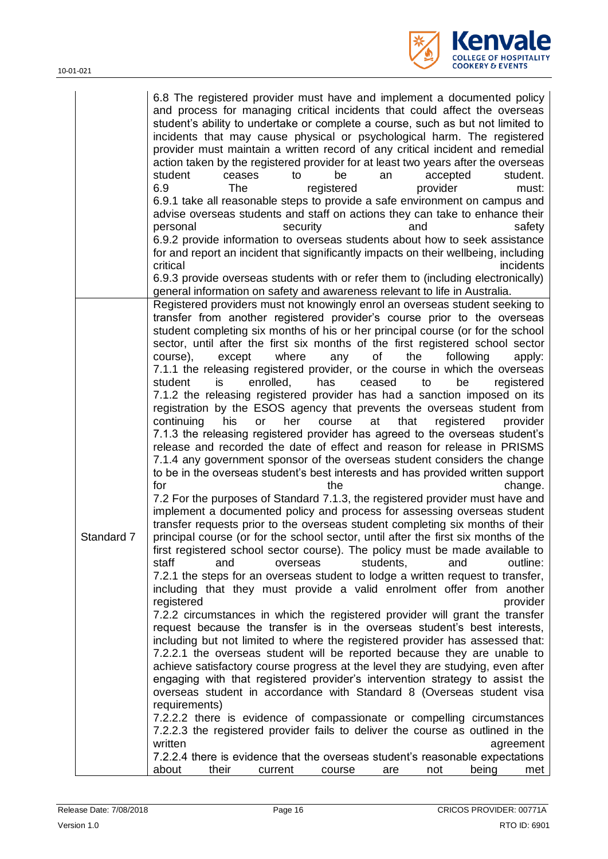

|            | 6.8 The registered provider must have and implement a documented policy<br>and process for managing critical incidents that could affect the overseas<br>student's ability to undertake or complete a course, such as but not limited to<br>incidents that may cause physical or psychological harm. The registered<br>provider must maintain a written record of any critical incident and remedial<br>action taken by the registered provider for at least two years after the overseas<br>student.<br>student<br>be<br>accepted<br>ceases<br>to<br>an<br>6.9<br>provider<br>The<br>registered<br>must:<br>6.9.1 take all reasonable steps to provide a safe environment on campus and<br>advise overseas students and staff on actions they can take to enhance their<br>security<br>personal<br>and<br>safety<br>6.9.2 provide information to overseas students about how to seek assistance<br>for and report an incident that significantly impacts on their wellbeing, including<br>critical<br><i>incidents</i><br>6.9.3 provide overseas students with or refer them to (including electronically)<br>general information on safety and awareness relevant to life in Australia.                                                                                                                                                                                                                                                                                                                                                                                                                                                                                                                                                                                                                                                                                                                                                                                                                                                                                                                                                                                                                                                                                                                                                                                                                                                              |
|------------|--------------------------------------------------------------------------------------------------------------------------------------------------------------------------------------------------------------------------------------------------------------------------------------------------------------------------------------------------------------------------------------------------------------------------------------------------------------------------------------------------------------------------------------------------------------------------------------------------------------------------------------------------------------------------------------------------------------------------------------------------------------------------------------------------------------------------------------------------------------------------------------------------------------------------------------------------------------------------------------------------------------------------------------------------------------------------------------------------------------------------------------------------------------------------------------------------------------------------------------------------------------------------------------------------------------------------------------------------------------------------------------------------------------------------------------------------------------------------------------------------------------------------------------------------------------------------------------------------------------------------------------------------------------------------------------------------------------------------------------------------------------------------------------------------------------------------------------------------------------------------------------------------------------------------------------------------------------------------------------------------------------------------------------------------------------------------------------------------------------------------------------------------------------------------------------------------------------------------------------------------------------------------------------------------------------------------------------------------------------------------------------------------------------------------------------------------------|
|            | Registered providers must not knowingly enrol an overseas student seeking to                                                                                                                                                                                                                                                                                                                                                                                                                                                                                                                                                                                                                                                                                                                                                                                                                                                                                                                                                                                                                                                                                                                                                                                                                                                                                                                                                                                                                                                                                                                                                                                                                                                                                                                                                                                                                                                                                                                                                                                                                                                                                                                                                                                                                                                                                                                                                                           |
|            | transfer from another registered provider's course prior to the overseas<br>student completing six months of his or her principal course (or for the school                                                                                                                                                                                                                                                                                                                                                                                                                                                                                                                                                                                                                                                                                                                                                                                                                                                                                                                                                                                                                                                                                                                                                                                                                                                                                                                                                                                                                                                                                                                                                                                                                                                                                                                                                                                                                                                                                                                                                                                                                                                                                                                                                                                                                                                                                            |
| Standard 7 | sector, until after the first six months of the first registered school sector<br>of<br>course),<br>except<br>where<br>the<br>following<br>any<br>apply:<br>7.1.1 the releasing registered provider, or the course in which the overseas<br>is<br>enrolled,<br>has<br>ceased<br>to<br>be<br>student<br>registered<br>7.1.2 the releasing registered provider has had a sanction imposed on its<br>registration by the ESOS agency that prevents the overseas student from<br>registered<br>continuing<br>his<br>her<br>at<br>that<br>provider<br>or<br>course<br>7.1.3 the releasing registered provider has agreed to the overseas student's<br>release and recorded the date of effect and reason for release in PRISMS<br>7.1.4 any government sponsor of the overseas student considers the change<br>to be in the overseas student's best interests and has provided written support<br>for<br>the<br>change.<br>7.2 For the purposes of Standard 7.1.3, the registered provider must have and<br>implement a documented policy and process for assessing overseas student<br>transfer requests prior to the overseas student completing six months of their<br>principal course (or for the school sector, until after the first six months of the<br>first registered school sector course). The policy must be made available to<br>students,<br>outline:<br>staff<br>and<br>and<br>overseas<br>7.2.1 the steps for an overseas student to lodge a written request to transfer,<br>including that they must provide a valid enrolment offer from another<br>registered<br>provider<br>7.2.2 circumstances in which the registered provider will grant the transfer<br>request because the transfer is in the overseas student's best interests,<br>including but not limited to where the registered provider has assessed that:<br>7.2.2.1 the overseas student will be reported because they are unable to<br>achieve satisfactory course progress at the level they are studying, even after<br>engaging with that registered provider's intervention strategy to assist the<br>overseas student in accordance with Standard 8 (Overseas student visa<br>requirements)<br>7.2.2.2 there is evidence of compassionate or compelling circumstances<br>7.2.2.3 the registered provider fails to deliver the course as outlined in the<br>written<br>agreement<br>7.2.2.4 there is evidence that the overseas student's reasonable expectations |
|            | about<br>their<br>being<br>current<br>course<br>not<br>met<br>are                                                                                                                                                                                                                                                                                                                                                                                                                                                                                                                                                                                                                                                                                                                                                                                                                                                                                                                                                                                                                                                                                                                                                                                                                                                                                                                                                                                                                                                                                                                                                                                                                                                                                                                                                                                                                                                                                                                                                                                                                                                                                                                                                                                                                                                                                                                                                                                      |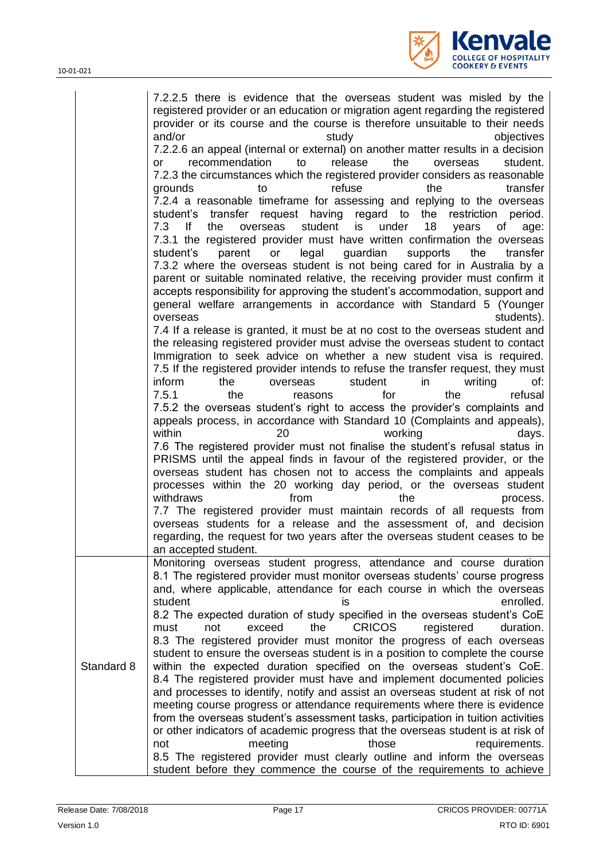

|            | 7.2.2.5 there is evidence that the overseas student was misled by the<br>registered provider or an education or migration agent regarding the registered<br>provider or its course and the course is therefore unsuitable to their needs<br>and/or<br>study<br>objectives<br>7.2.2.6 an appeal (internal or external) on another matter results in a decision<br>release<br>the<br>student.<br>recommendation<br>to<br>overseas<br>or<br>7.2.3 the circumstances which the registered provider considers as reasonable<br>refuse<br>the<br>transfer<br>grounds<br>to<br>7.2.4 a reasonable timeframe for assessing and replying to the overseas<br>student's transfer request having regard to the<br>restriction period.<br>7.3<br>lf<br>18<br>the<br>overseas<br>student<br>is<br>under<br>of<br>years<br>age:<br>7.3.1 the registered provider must have written confirmation the overseas<br>student's<br>parent<br>legal<br>guardian<br>supports<br>the<br>transfer<br>or<br>7.3.2 where the overseas student is not being cared for in Australia by a<br>parent or suitable nominated relative, the receiving provider must confirm it<br>accepts responsibility for approving the student's accommodation, support and<br>general welfare arrangements in accordance with Standard 5 (Younger<br>students).<br>overseas<br>7.4 If a release is granted, it must be at no cost to the overseas student and<br>the releasing registered provider must advise the overseas student to contact<br>Immigration to seek advice on whether a new student visa is required.<br>7.5 If the registered provider intends to refuse the transfer request, they must<br>inform<br>student<br>writing<br>the<br>overseas<br>in<br>of:<br>7.5.1<br>the<br>the<br>refusal<br>for<br>reasons<br>7.5.2 the overseas student's right to access the provider's complaints and<br>appeals process, in accordance with Standard 10 (Complaints and appeals),<br>within<br>20<br>working<br>days.<br>7.6 The registered provider must not finalise the student's refusal status in<br>PRISMS until the appeal finds in favour of the registered provider, or the<br>overseas student has chosen not to access the complaints and appeals<br>processes within the 20 working day period, or the overseas student<br>withdraws<br>from<br>the<br>process.<br>7.7 The registered provider must maintain records of all requests from<br>overseas students for a release and the assessment of, and decision<br>regarding, the request for two years after the overseas student ceases to be<br>an accepted student. |
|------------|--------------------------------------------------------------------------------------------------------------------------------------------------------------------------------------------------------------------------------------------------------------------------------------------------------------------------------------------------------------------------------------------------------------------------------------------------------------------------------------------------------------------------------------------------------------------------------------------------------------------------------------------------------------------------------------------------------------------------------------------------------------------------------------------------------------------------------------------------------------------------------------------------------------------------------------------------------------------------------------------------------------------------------------------------------------------------------------------------------------------------------------------------------------------------------------------------------------------------------------------------------------------------------------------------------------------------------------------------------------------------------------------------------------------------------------------------------------------------------------------------------------------------------------------------------------------------------------------------------------------------------------------------------------------------------------------------------------------------------------------------------------------------------------------------------------------------------------------------------------------------------------------------------------------------------------------------------------------------------------------------------------------------------------------------------------------------------------------------------------------------------------------------------------------------------------------------------------------------------------------------------------------------------------------------------------------------------------------------------------------------------------------------------------------------------------------------------------------------------------------------------------------------------------------------------------------------------------------------|
| Standard 8 | Monitoring overseas student progress, attendance and course duration<br>8.1 The registered provider must monitor overseas students' course progress<br>and, where applicable, attendance for each course in which the overseas<br>student<br>enrolled.<br>ıs<br>8.2 The expected duration of study specified in the overseas student's CoE<br>exceed<br>the<br><b>CRICOS</b><br>duration.<br>must<br>not<br>registered<br>8.3 The registered provider must monitor the progress of each overseas<br>student to ensure the overseas student is in a position to complete the course<br>within the expected duration specified on the overseas student's CoE.<br>8.4 The registered provider must have and implement documented policies<br>and processes to identify, notify and assist an overseas student at risk of not<br>meeting course progress or attendance requirements where there is evidence<br>from the overseas student's assessment tasks, participation in tuition activities<br>or other indicators of academic progress that the overseas student is at risk of<br>meeting<br>those<br>not<br>requirements.<br>8.5 The registered provider must clearly outline and inform the overseas<br>student before they commence the course of the requirements to achieve                                                                                                                                                                                                                                                                                                                                                                                                                                                                                                                                                                                                                                                                                                                                                                                                                                                                                                                                                                                                                                                                                                                                                                                                                                                                                                               |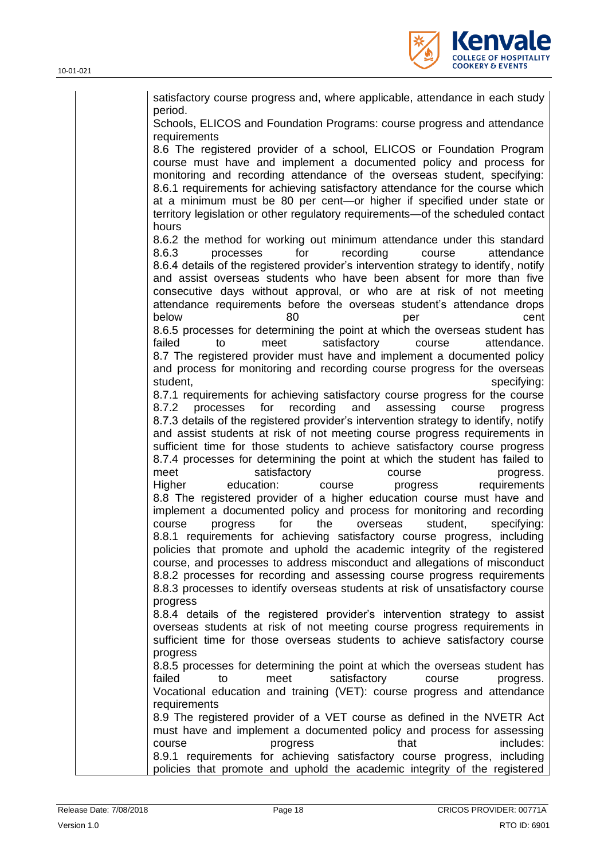

| satisfactory course progress and, where applicable, attendance in each study<br>period.                                                                                                                                                                                                                                                                                                                                                                                                        |
|------------------------------------------------------------------------------------------------------------------------------------------------------------------------------------------------------------------------------------------------------------------------------------------------------------------------------------------------------------------------------------------------------------------------------------------------------------------------------------------------|
| Schools, ELICOS and Foundation Programs: course progress and attendance                                                                                                                                                                                                                                                                                                                                                                                                                        |
| requirements<br>8.6 The registered provider of a school, ELICOS or Foundation Program<br>course must have and implement a documented policy and process for<br>monitoring and recording attendance of the overseas student, specifying:<br>8.6.1 requirements for achieving satisfactory attendance for the course which<br>at a minimum must be 80 per cent-or higher if specified under state or<br>territory legislation or other regulatory requirements-of the scheduled contact<br>hours |
| 8.6.2 the method for working out minimum attendance under this standard<br>8.6.3<br>for<br>recording<br>processes<br>attendance<br>course<br>8.6.4 details of the registered provider's intervention strategy to identify, notify<br>and assist overseas students who have been absent for more than five<br>consecutive days without approval, or who are at risk of not meeting<br>attendance requirements before the overseas student's attendance drops<br>below<br>cent<br>80<br>per      |
| 8.6.5 processes for determining the point at which the overseas student has                                                                                                                                                                                                                                                                                                                                                                                                                    |
| satisfactory<br>failed<br>course<br>attendance.<br>to<br>meet<br>8.7 The registered provider must have and implement a documented policy<br>and process for monitoring and recording course progress for the overseas<br>specifying:<br>student,                                                                                                                                                                                                                                               |
| 8.7.1 requirements for achieving satisfactory course progress for the course<br>recording<br>processes<br>for<br>and<br>assessing<br>8.7.2<br>course<br>progress<br>8.7.3 details of the registered provider's intervention strategy to identify, notify                                                                                                                                                                                                                                       |
| and assist students at risk of not meeting course progress requirements in<br>sufficient time for those students to achieve satisfactory course progress<br>8.7.4 processes for determining the point at which the student has failed to<br>meet<br>satisfactory<br>course<br>progress.                                                                                                                                                                                                        |
| education:<br>requirements<br>Higher<br>course<br>progress<br>8.8 The registered provider of a higher education course must have and<br>implement a documented policy and process for monitoring and recording<br>for<br>the<br>student,<br>overseas<br>specifying:<br>course<br>progress                                                                                                                                                                                                      |
| 8.8.1 requirements for achieving satisfactory course progress, including<br>policies that promote and uphold the academic integrity of the registered<br>course, and processes to address misconduct and allegations of misconduct<br>8.8.2 processes for recording and assessing course progress requirements<br>8.8.3 processes to identify overseas students at risk of unsatisfactory course                                                                                               |
| progress<br>8.8.4 details of the registered provider's intervention strategy to assist<br>overseas students at risk of not meeting course progress requirements in<br>sufficient time for those overseas students to achieve satisfactory course<br>progress                                                                                                                                                                                                                                   |
| 8.8.5 processes for determining the point at which the overseas student has<br>failed<br>meet<br>satisfactory<br>course<br>to<br>progress.<br>Vocational education and training (VET): course progress and attendance<br>requirements                                                                                                                                                                                                                                                          |
| 8.9 The registered provider of a VET course as defined in the NVETR Act<br>must have and implement a documented policy and process for assessing<br>includes:<br>that<br>course<br>progress<br>8.9.1 requirements for achieving satisfactory course progress, including                                                                                                                                                                                                                        |
| policies that promote and uphold the academic integrity of the registered                                                                                                                                                                                                                                                                                                                                                                                                                      |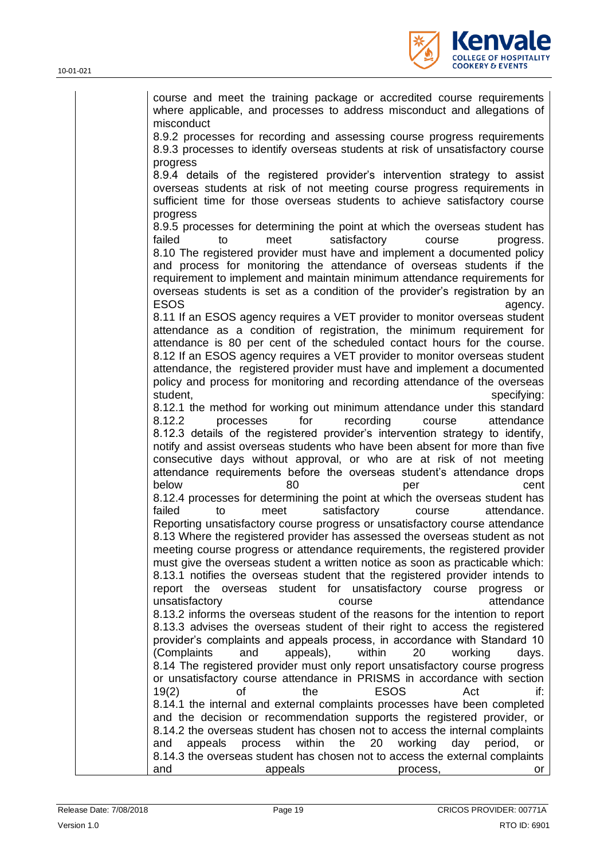

| course and meet the training package or accredited course requirements<br>where applicable, and processes to address misconduct and allegations of<br>misconduct                                                                                 |                |
|--------------------------------------------------------------------------------------------------------------------------------------------------------------------------------------------------------------------------------------------------|----------------|
| 8.9.2 processes for recording and assessing course progress requirements<br>8.9.3 processes to identify overseas students at risk of unsatisfactory course<br>progress                                                                           |                |
| 8.9.4 details of the registered provider's intervention strategy to assist<br>overseas students at risk of not meeting course progress requirements in<br>sufficient time for those overseas students to achieve satisfactory course<br>progress |                |
| 8.9.5 processes for determining the point at which the overseas student has                                                                                                                                                                      |                |
| failed<br>satisfactory<br>to<br>meet<br>course                                                                                                                                                                                                   | progress.      |
| 8.10 The registered provider must have and implement a documented policy                                                                                                                                                                         |                |
| and process for monitoring the attendance of overseas students if the                                                                                                                                                                            |                |
| requirement to implement and maintain minimum attendance requirements for                                                                                                                                                                        |                |
| overseas students is set as a condition of the provider's registration by an                                                                                                                                                                     |                |
| <b>ESOS</b>                                                                                                                                                                                                                                      | agency.        |
| 8.11 If an ESOS agency requires a VET provider to monitor overseas student                                                                                                                                                                       |                |
| attendance as a condition of registration, the minimum requirement for                                                                                                                                                                           |                |
| attendance is 80 per cent of the scheduled contact hours for the course.<br>8.12 If an ESOS agency requires a VET provider to monitor overseas student                                                                                           |                |
| attendance, the registered provider must have and implement a documented                                                                                                                                                                         |                |
| policy and process for monitoring and recording attendance of the overseas                                                                                                                                                                       |                |
| student,                                                                                                                                                                                                                                         | specifying:    |
| 8.12.1 the method for working out minimum attendance under this standard                                                                                                                                                                         |                |
| processes<br>for<br>recording<br>8.12.2<br>course                                                                                                                                                                                                | attendance     |
| 8.12.3 details of the registered provider's intervention strategy to identify,                                                                                                                                                                   |                |
| notify and assist overseas students who have been absent for more than five                                                                                                                                                                      |                |
| consecutive days without approval, or who are at risk of not meeting                                                                                                                                                                             |                |
| attendance requirements before the overseas student's attendance drops                                                                                                                                                                           |                |
| below<br>80<br>per                                                                                                                                                                                                                               | cent           |
| 8.12.4 processes for determining the point at which the overseas student has<br>failed<br>satisfactory<br>to<br>meet<br>course                                                                                                                   | attendance.    |
| Reporting unsatisfactory course progress or unsatisfactory course attendance                                                                                                                                                                     |                |
| 8.13 Where the registered provider has assessed the overseas student as not                                                                                                                                                                      |                |
| meeting course progress or attendance requirements, the registered provider                                                                                                                                                                      |                |
| must give the overseas student a written notice as soon as practicable which:                                                                                                                                                                    |                |
| 8.13.1 notifies the overseas student that the registered provider intends to                                                                                                                                                                     |                |
| student for unsatisfactory course<br>report the overseas                                                                                                                                                                                         | progress<br>or |
| unsatisfactory<br>course                                                                                                                                                                                                                         | attendance     |
| 8.13.2 informs the overseas student of the reasons for the intention to report                                                                                                                                                                   |                |
| 8.13.3 advises the overseas student of their right to access the registered                                                                                                                                                                      |                |
| provider's complaints and appeals process, in accordance with Standard 10<br>(Complaints<br>appeals),<br>within<br>20<br>working<br>and                                                                                                          | days.          |
| 8.14 The registered provider must only report unsatisfactory course progress                                                                                                                                                                     |                |
| or unsatisfactory course attendance in PRISMS in accordance with section                                                                                                                                                                         |                |
| 19(2)<br>the<br><b>ESOS</b><br>Act<br>оf                                                                                                                                                                                                         | if:            |
| 8.14.1 the internal and external complaints processes have been completed                                                                                                                                                                        |                |
| and the decision or recommendation supports the registered provider, or                                                                                                                                                                          |                |
| 8.14.2 the overseas student has chosen not to access the internal complaints                                                                                                                                                                     |                |
| within<br>the<br>20<br>working<br>day<br>appeals<br>process<br>and                                                                                                                                                                               | period,<br>or  |
| 8.14.3 the overseas student has chosen not to access the external complaints                                                                                                                                                                     |                |
| and<br>appeals<br>process,                                                                                                                                                                                                                       | or             |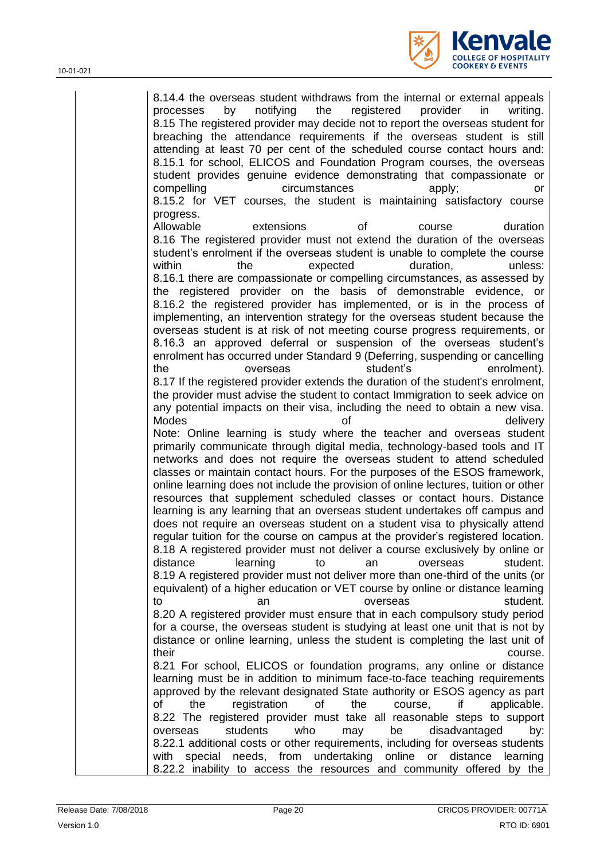

8.14.4 the overseas student withdraws from the internal or external appeals processes by notifying the registered provider in writing. 8.15 The registered provider may decide not to report the overseas student for breaching the attendance requirements if the overseas student is still attending at least 70 per cent of the scheduled course contact hours and: 8.15.1 for school, ELICOS and Foundation Program courses, the overseas student provides genuine evidence demonstrating that compassionate or compelling circumstances apply; or 8.15.2 for VET courses, the student is maintaining satisfactory course progress. Allowable extensions of course duration 8.16 The registered provider must not extend the duration of the overseas student's enrolment if the overseas student is unable to complete the course within the expected duration, unless: 8.16.1 there are compassionate or compelling circumstances, as assessed by the registered provider on the basis of demonstrable evidence, or 8.16.2 the registered provider has implemented, or is in the process of implementing, an intervention strategy for the overseas student because the overseas student is at risk of not meeting course progress requirements, or 8.16.3 an approved deferral or suspension of the overseas student's enrolment has occurred under Standard 9 (Deferring, suspending or cancelling the overseas student's enrolment). 8.17 If the registered provider extends the duration of the student's enrolment, the provider must advise the student to contact Immigration to seek advice on any potential impacts on their visa, including the need to obtain a new visa. Modes and the of the contract of the contract of the delivery Note: Online learning is study where the teacher and overseas student primarily communicate through digital media, technology-based tools and IT networks and does not require the overseas student to attend scheduled classes or maintain contact hours. For the purposes of the ESOS framework, online learning does not include the provision of online lectures, tuition or other resources that supplement scheduled classes or contact hours. Distance learning is any learning that an overseas student undertakes off campus and does not require an overseas student on a student visa to physically attend regular tuition for the course on campus at the provider's registered location. 8.18 A registered provider must not deliver a course exclusively by online or distance learning to an overseas student. 8.19 A registered provider must not deliver more than one-third of the units (or equivalent) of a higher education or VET course by online or distance learning to an an overseas student. 8.20 A registered provider must ensure that in each compulsory study period for a course, the overseas student is studying at least one unit that is not by distance or online learning, unless the student is completing the last unit of their course. 8.21 For school, ELICOS or foundation programs, any online or distance learning must be in addition to minimum face-to-face teaching requirements approved by the relevant designated State authority or ESOS agency as part of the registration of the course, if applicable. 8.22 The registered provider must take all reasonable steps to support overseas students who may be disadvantaged by: 8.22.1 additional costs or other requirements, including for overseas students with special needs, from undertaking online or distance learning 8.22.2 inability to access the resources and community offered by the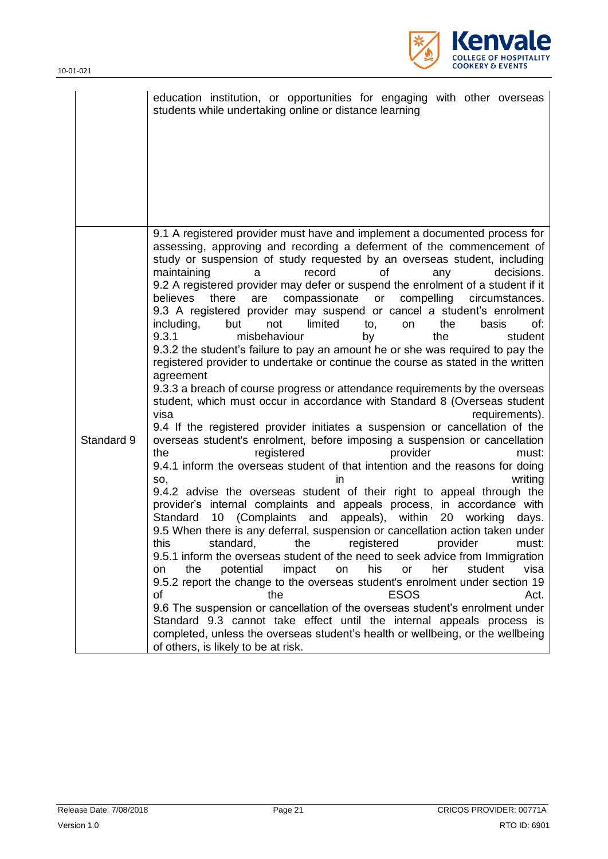

|            | education institution, or opportunities for engaging with other overseas<br>students while undertaking online or distance learning                                                                                                                                                                                                                                                                                                                                                                                                                                                                                                                                                                                                                                                                                                                                                                                                                                                                                                                                                                                                                                                                                                                                                                                                                                                                                                                                                                                                                                                                                                                                                                                                                                                                                                                                                                                                                                                                                                                                                                                                                                                                                                                                                                 |
|------------|----------------------------------------------------------------------------------------------------------------------------------------------------------------------------------------------------------------------------------------------------------------------------------------------------------------------------------------------------------------------------------------------------------------------------------------------------------------------------------------------------------------------------------------------------------------------------------------------------------------------------------------------------------------------------------------------------------------------------------------------------------------------------------------------------------------------------------------------------------------------------------------------------------------------------------------------------------------------------------------------------------------------------------------------------------------------------------------------------------------------------------------------------------------------------------------------------------------------------------------------------------------------------------------------------------------------------------------------------------------------------------------------------------------------------------------------------------------------------------------------------------------------------------------------------------------------------------------------------------------------------------------------------------------------------------------------------------------------------------------------------------------------------------------------------------------------------------------------------------------------------------------------------------------------------------------------------------------------------------------------------------------------------------------------------------------------------------------------------------------------------------------------------------------------------------------------------------------------------------------------------------------------------------------------------|
|            |                                                                                                                                                                                                                                                                                                                                                                                                                                                                                                                                                                                                                                                                                                                                                                                                                                                                                                                                                                                                                                                                                                                                                                                                                                                                                                                                                                                                                                                                                                                                                                                                                                                                                                                                                                                                                                                                                                                                                                                                                                                                                                                                                                                                                                                                                                    |
| Standard 9 | 9.1 A registered provider must have and implement a documented process for<br>assessing, approving and recording a deferment of the commencement of<br>study or suspension of study requested by an overseas student, including<br>maintaining<br>record<br>οf<br>decisions.<br>a<br>any<br>9.2 A registered provider may defer or suspend the enrolment of a student if it<br>believes there<br>are<br>compassionate or<br>compelling circumstances.<br>9.3 A registered provider may suspend or cancel a student's enrolment<br>including,<br>but<br>not<br>limited<br>the<br>to,<br>basis<br>of:<br>on<br>9.3.1<br>misbehaviour<br>the<br>student<br>by<br>9.3.2 the student's failure to pay an amount he or she was required to pay the<br>registered provider to undertake or continue the course as stated in the written<br>agreement<br>9.3.3 a breach of course progress or attendance requirements by the overseas<br>student, which must occur in accordance with Standard 8 (Overseas student<br>visa<br>requirements).<br>9.4 If the registered provider initiates a suspension or cancellation of the<br>overseas student's enrolment, before imposing a suspension or cancellation<br>provider<br>the<br>registered<br>must:<br>9.4.1 inform the overseas student of that intention and the reasons for doing<br>writing<br>SO,<br>ın<br>9.4.2 advise the overseas student of their right to appeal through the<br>provider's internal complaints and appeals process, in accordance with<br>10 (Complaints and<br>appeals), within<br>Standard<br>20<br>working<br>days.<br>9.5 When there is any deferral, suspension or cancellation action taken under<br>this standard, the registered provider must:<br>9.5.1 inform the overseas student of the need to seek advice from Immigration<br>his<br>potential<br>impact<br>her<br>student<br>visa<br>the<br>on<br>or<br>on<br>9.5.2 report the change to the overseas student's enrolment under section 19<br><b>ESOS</b><br>Act.<br>οf<br>the<br>9.6 The suspension or cancellation of the overseas student's enrolment under<br>Standard 9.3 cannot take effect until the internal appeals process is<br>completed, unless the overseas student's health or wellbeing, or the wellbeing<br>of others, is likely to be at risk. |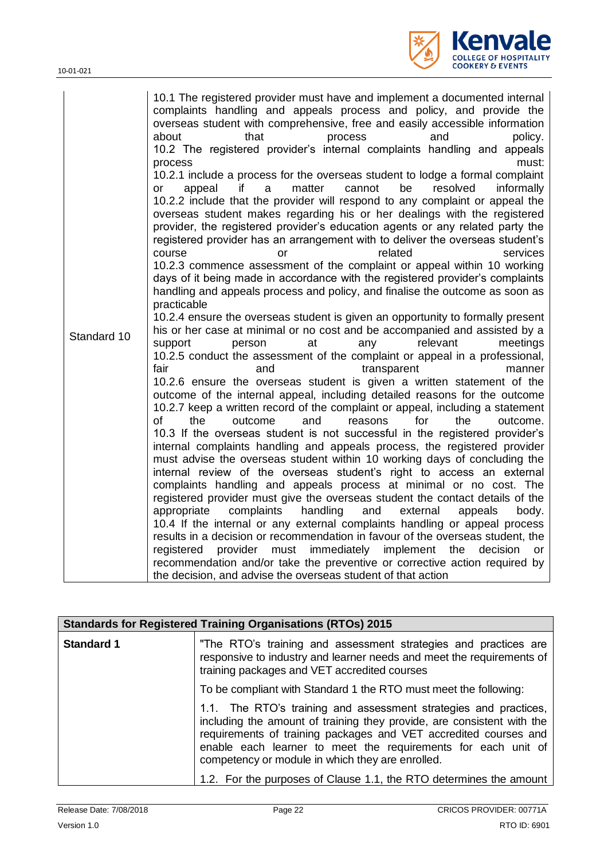10-01-021



| Standard 10 | 10.1 The registered provider must have and implement a documented internal<br>complaints handling and appeals process and policy, and provide the<br>overseas student with comprehensive, free and easily accessible information<br>that<br>about<br>process<br>and<br>policy.<br>10.2 The registered provider's internal complaints handling and appeals<br>must:<br>process<br>10.2.1 include a process for the overseas student to lodge a formal complaint<br>if<br>a<br>cannot<br>be<br>resolved<br>matter<br>informally<br>or<br>appeal<br>10.2.2 include that the provider will respond to any complaint or appeal the<br>overseas student makes regarding his or her dealings with the registered<br>provider, the registered provider's education agents or any related party the<br>registered provider has an arrangement with to deliver the overseas student's<br>related<br>course<br>services<br>or<br>10.2.3 commence assessment of the complaint or appeal within 10 working<br>days of it being made in accordance with the registered provider's complaints<br>handling and appeals process and policy, and finalise the outcome as soon as<br>practicable<br>10.2.4 ensure the overseas student is given an opportunity to formally present<br>his or her case at minimal or no cost and be accompanied and assisted by a<br>relevant<br>support<br>at<br>person<br>any<br>meetings<br>10.2.5 conduct the assessment of the complaint or appeal in a professional,<br>fair<br>and<br>transparent<br>manner<br>10.2.6 ensure the overseas student is given a written statement of the<br>outcome of the internal appeal, including detailed reasons for the outcome<br>10.2.7 keep a written record of the complaint or appeal, including a statement<br>of<br>the<br>and<br>for<br>outcome<br>reasons<br>the<br>outcome.<br>10.3 If the overseas student is not successful in the registered provider's<br>internal complaints handling and appeals process, the registered provider<br>must advise the overseas student within 10 working days of concluding the<br>internal review of the overseas student's right to access an external<br>complaints handling and appeals process at minimal or no cost. The<br>registered provider must give the overseas student the contact details of the<br>and<br>appropriate<br>complaints<br>handling<br>external<br>body.<br>appeals<br>10.4 If the internal or any external complaints handling or appeal process<br>results in a decision or recommendation in favour of the overseas student, the<br>must immediately<br>implement<br>the<br>registered<br>provider<br>decision<br>or<br>recommendation and/or take the preventive or corrective action required by |
|-------------|-----------------------------------------------------------------------------------------------------------------------------------------------------------------------------------------------------------------------------------------------------------------------------------------------------------------------------------------------------------------------------------------------------------------------------------------------------------------------------------------------------------------------------------------------------------------------------------------------------------------------------------------------------------------------------------------------------------------------------------------------------------------------------------------------------------------------------------------------------------------------------------------------------------------------------------------------------------------------------------------------------------------------------------------------------------------------------------------------------------------------------------------------------------------------------------------------------------------------------------------------------------------------------------------------------------------------------------------------------------------------------------------------------------------------------------------------------------------------------------------------------------------------------------------------------------------------------------------------------------------------------------------------------------------------------------------------------------------------------------------------------------------------------------------------------------------------------------------------------------------------------------------------------------------------------------------------------------------------------------------------------------------------------------------------------------------------------------------------------------------------------------------------------------------------------------------------------------------------------------------------------------------------------------------------------------------------------------------------------------------------------------------------------------------------------------------------------------------------------------------------------------------------------------------------------------------------------------------------------------------------------------------------------------------------------------------------------------------------------------------|
|-------------|-----------------------------------------------------------------------------------------------------------------------------------------------------------------------------------------------------------------------------------------------------------------------------------------------------------------------------------------------------------------------------------------------------------------------------------------------------------------------------------------------------------------------------------------------------------------------------------------------------------------------------------------------------------------------------------------------------------------------------------------------------------------------------------------------------------------------------------------------------------------------------------------------------------------------------------------------------------------------------------------------------------------------------------------------------------------------------------------------------------------------------------------------------------------------------------------------------------------------------------------------------------------------------------------------------------------------------------------------------------------------------------------------------------------------------------------------------------------------------------------------------------------------------------------------------------------------------------------------------------------------------------------------------------------------------------------------------------------------------------------------------------------------------------------------------------------------------------------------------------------------------------------------------------------------------------------------------------------------------------------------------------------------------------------------------------------------------------------------------------------------------------------------------------------------------------------------------------------------------------------------------------------------------------------------------------------------------------------------------------------------------------------------------------------------------------------------------------------------------------------------------------------------------------------------------------------------------------------------------------------------------------------------------------------------------------------------------------------------------------------|

|                   | <b>Standards for Registered Training Organisations (RTOs) 2015</b>                                                                                                                                                                                                                                                                  |  |
|-------------------|-------------------------------------------------------------------------------------------------------------------------------------------------------------------------------------------------------------------------------------------------------------------------------------------------------------------------------------|--|
| <b>Standard 1</b> | "The RTO's training and assessment strategies and practices are<br>responsive to industry and learner needs and meet the requirements of<br>training packages and VET accredited courses                                                                                                                                            |  |
|                   | To be compliant with Standard 1 the RTO must meet the following:                                                                                                                                                                                                                                                                    |  |
|                   | 1.1. The RTO's training and assessment strategies and practices,<br>including the amount of training they provide, are consistent with the<br>requirements of training packages and VET accredited courses and<br>enable each learner to meet the requirements for each unit of<br>competency or module in which they are enrolled. |  |
|                   | 1.2. For the purposes of Clause 1.1, the RTO determines the amount                                                                                                                                                                                                                                                                  |  |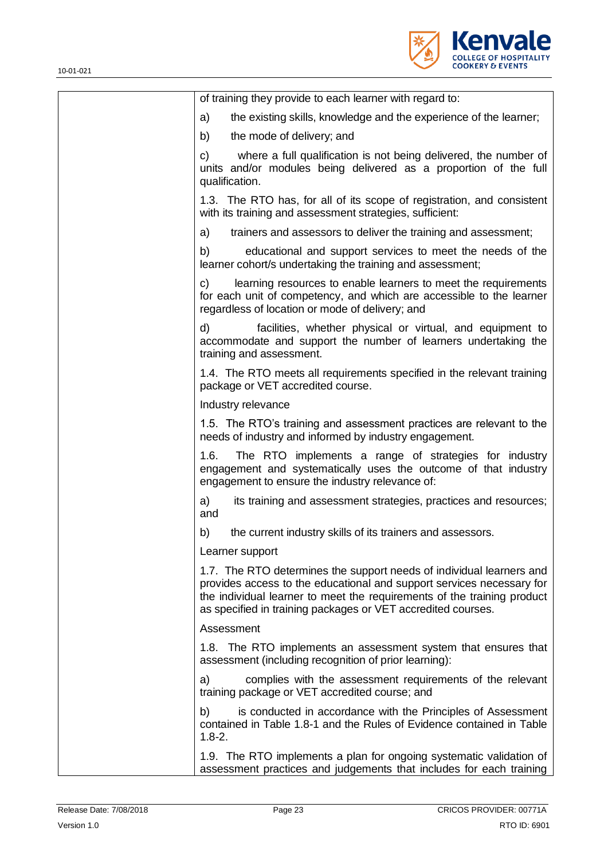

| of training they provide to each learner with regard to:                                                                                                                                                                                                                                 |
|------------------------------------------------------------------------------------------------------------------------------------------------------------------------------------------------------------------------------------------------------------------------------------------|
| the existing skills, knowledge and the experience of the learner;<br>a)                                                                                                                                                                                                                  |
| b)<br>the mode of delivery; and                                                                                                                                                                                                                                                          |
| where a full qualification is not being delivered, the number of<br>C)<br>units and/or modules being delivered as a proportion of the full<br>qualification.                                                                                                                             |
| 1.3. The RTO has, for all of its scope of registration, and consistent<br>with its training and assessment strategies, sufficient:                                                                                                                                                       |
| a)<br>trainers and assessors to deliver the training and assessment;                                                                                                                                                                                                                     |
| b)<br>educational and support services to meet the needs of the<br>learner cohort/s undertaking the training and assessment;                                                                                                                                                             |
| C)<br>learning resources to enable learners to meet the requirements<br>for each unit of competency, and which are accessible to the learner<br>regardless of location or mode of delivery; and                                                                                          |
| d)<br>facilities, whether physical or virtual, and equipment to<br>accommodate and support the number of learners undertaking the<br>training and assessment.                                                                                                                            |
| 1.4. The RTO meets all requirements specified in the relevant training<br>package or VET accredited course.                                                                                                                                                                              |
| Industry relevance                                                                                                                                                                                                                                                                       |
| 1.5. The RTO's training and assessment practices are relevant to the<br>needs of industry and informed by industry engagement.                                                                                                                                                           |
| 1.6.<br>The RTO implements a range of strategies for industry<br>engagement and systematically uses the outcome of that industry<br>engagement to ensure the industry relevance of:                                                                                                      |
| a)<br>its training and assessment strategies, practices and resources;<br>and                                                                                                                                                                                                            |
| the current industry skills of its trainers and assessors.<br>b)                                                                                                                                                                                                                         |
| Learner support                                                                                                                                                                                                                                                                          |
| 1.7. The RTO determines the support needs of individual learners and<br>provides access to the educational and support services necessary for<br>the individual learner to meet the requirements of the training product<br>as specified in training packages or VET accredited courses. |
| Assessment                                                                                                                                                                                                                                                                               |
| 1.8. The RTO implements an assessment system that ensures that<br>assessment (including recognition of prior learning):                                                                                                                                                                  |
| a)<br>complies with the assessment requirements of the relevant<br>training package or VET accredited course; and                                                                                                                                                                        |
| is conducted in accordance with the Principles of Assessment<br>b)<br>contained in Table 1.8-1 and the Rules of Evidence contained in Table<br>$1.8 - 2.$                                                                                                                                |
| 1.9. The RTO implements a plan for ongoing systematic validation of<br>assessment practices and judgements that includes for each training                                                                                                                                               |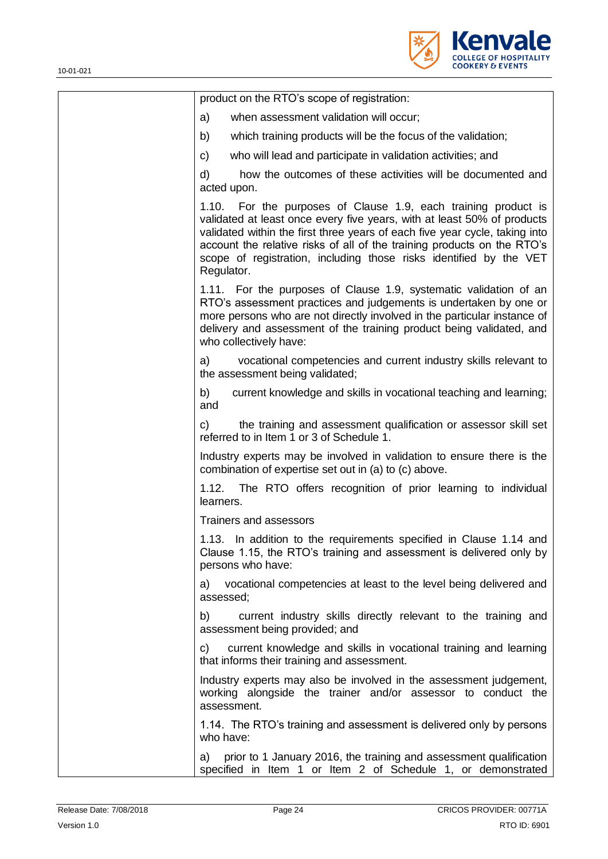

| product on the RTO's scope of registration:                                                                                                                                                                                                                                                                                                                                             |
|-----------------------------------------------------------------------------------------------------------------------------------------------------------------------------------------------------------------------------------------------------------------------------------------------------------------------------------------------------------------------------------------|
| a)<br>when assessment validation will occur;                                                                                                                                                                                                                                                                                                                                            |
| b)<br>which training products will be the focus of the validation;                                                                                                                                                                                                                                                                                                                      |
| C)<br>who will lead and participate in validation activities; and                                                                                                                                                                                                                                                                                                                       |
| how the outcomes of these activities will be documented and<br>d)<br>acted upon.                                                                                                                                                                                                                                                                                                        |
| 1.10. For the purposes of Clause 1.9, each training product is<br>validated at least once every five years, with at least 50% of products<br>validated within the first three years of each five year cycle, taking into<br>account the relative risks of all of the training products on the RTO's<br>scope of registration, including those risks identified by the VET<br>Regulator. |
| 1.11. For the purposes of Clause 1.9, systematic validation of an<br>RTO's assessment practices and judgements is undertaken by one or<br>more persons who are not directly involved in the particular instance of<br>delivery and assessment of the training product being validated, and<br>who collectively have:                                                                    |
| vocational competencies and current industry skills relevant to<br>a)<br>the assessment being validated;                                                                                                                                                                                                                                                                                |
| current knowledge and skills in vocational teaching and learning;<br>b)<br>and                                                                                                                                                                                                                                                                                                          |
| the training and assessment qualification or assessor skill set<br>C)<br>referred to in Item 1 or 3 of Schedule 1.                                                                                                                                                                                                                                                                      |
| Industry experts may be involved in validation to ensure there is the<br>combination of expertise set out in (a) to (c) above.                                                                                                                                                                                                                                                          |
| The RTO offers recognition of prior learning to individual<br>1.12.<br>learners.                                                                                                                                                                                                                                                                                                        |
| Trainers and assessors                                                                                                                                                                                                                                                                                                                                                                  |
| 1.13. In addition to the requirements specified in Clause 1.14 and<br>Clause 1.15, the RTO's training and assessment is delivered only by<br>persons who have:                                                                                                                                                                                                                          |
| vocational competencies at least to the level being delivered and<br>a)<br>assessed;                                                                                                                                                                                                                                                                                                    |
| current industry skills directly relevant to the training and<br>b)<br>assessment being provided; and                                                                                                                                                                                                                                                                                   |
| current knowledge and skills in vocational training and learning<br>C)<br>that informs their training and assessment.                                                                                                                                                                                                                                                                   |
| Industry experts may also be involved in the assessment judgement,<br>working alongside the trainer and/or assessor to conduct the<br>assessment.                                                                                                                                                                                                                                       |
| 1.14. The RTO's training and assessment is delivered only by persons<br>who have:                                                                                                                                                                                                                                                                                                       |
| prior to 1 January 2016, the training and assessment qualification<br>a)<br>specified in Item 1 or Item 2 of Schedule 1, or demonstrated                                                                                                                                                                                                                                                |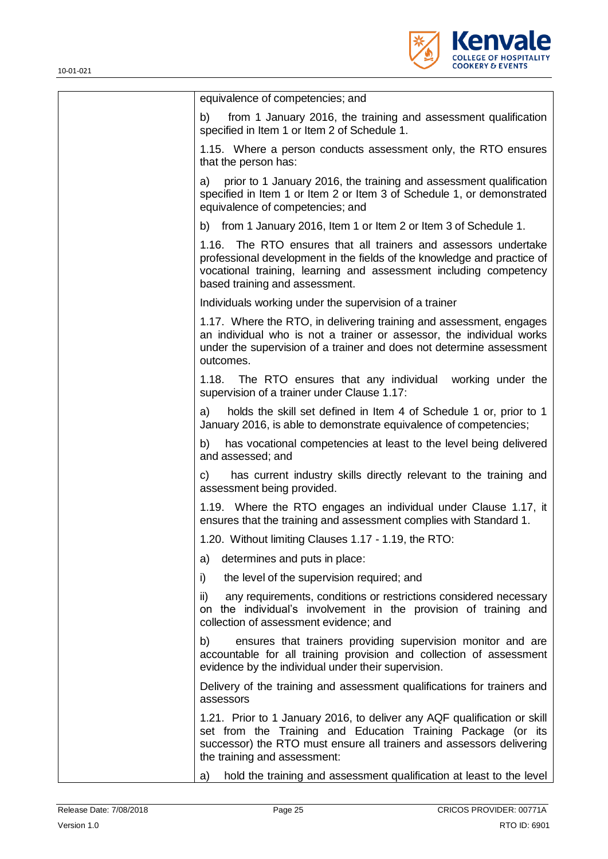

| equivalence of competencies; and                                                                                                                                                                                                                     |
|------------------------------------------------------------------------------------------------------------------------------------------------------------------------------------------------------------------------------------------------------|
| from 1 January 2016, the training and assessment qualification<br>b)<br>specified in Item 1 or Item 2 of Schedule 1.                                                                                                                                 |
| 1.15. Where a person conducts assessment only, the RTO ensures<br>that the person has:                                                                                                                                                               |
| a) prior to 1 January 2016, the training and assessment qualification<br>specified in Item 1 or Item 2 or Item 3 of Schedule 1, or demonstrated<br>equivalence of competencies; and                                                                  |
| b) from 1 January 2016, Item 1 or Item 2 or Item 3 of Schedule 1.                                                                                                                                                                                    |
| 1.16.<br>The RTO ensures that all trainers and assessors undertake<br>professional development in the fields of the knowledge and practice of<br>vocational training, learning and assessment including competency<br>based training and assessment. |
| Individuals working under the supervision of a trainer                                                                                                                                                                                               |
| 1.17. Where the RTO, in delivering training and assessment, engages<br>an individual who is not a trainer or assessor, the individual works<br>under the supervision of a trainer and does not determine assessment<br>outcomes.                     |
| 1.18. The RTO ensures that any individual working under the<br>supervision of a trainer under Clause 1.17:                                                                                                                                           |
| holds the skill set defined in Item 4 of Schedule 1 or, prior to 1<br>a)<br>January 2016, is able to demonstrate equivalence of competencies;                                                                                                        |
| has vocational competencies at least to the level being delivered<br>b)<br>and assessed; and                                                                                                                                                         |
| has current industry skills directly relevant to the training and<br>C)<br>assessment being provided.                                                                                                                                                |
| 1.19. Where the RTO engages an individual under Clause 1.17, it<br>ensures that the training and assessment complies with Standard 1.                                                                                                                |
| 1.20. Without limiting Clauses 1.17 - 1.19, the RTO:                                                                                                                                                                                                 |
| determines and puts in place:<br>a)                                                                                                                                                                                                                  |
| i)<br>the level of the supervision required; and                                                                                                                                                                                                     |
| ii)<br>any requirements, conditions or restrictions considered necessary<br>on the individual's involvement in the provision of training and<br>collection of assessment evidence; and                                                               |
| ensures that trainers providing supervision monitor and are<br>b)<br>accountable for all training provision and collection of assessment<br>evidence by the individual under their supervision.                                                      |
| Delivery of the training and assessment qualifications for trainers and<br>assessors                                                                                                                                                                 |
| 1.21. Prior to 1 January 2016, to deliver any AQF qualification or skill<br>set from the Training and Education Training Package (or its<br>successor) the RTO must ensure all trainers and assessors delivering<br>the training and assessment:     |
| hold the training and assessment qualification at least to the level<br>a)                                                                                                                                                                           |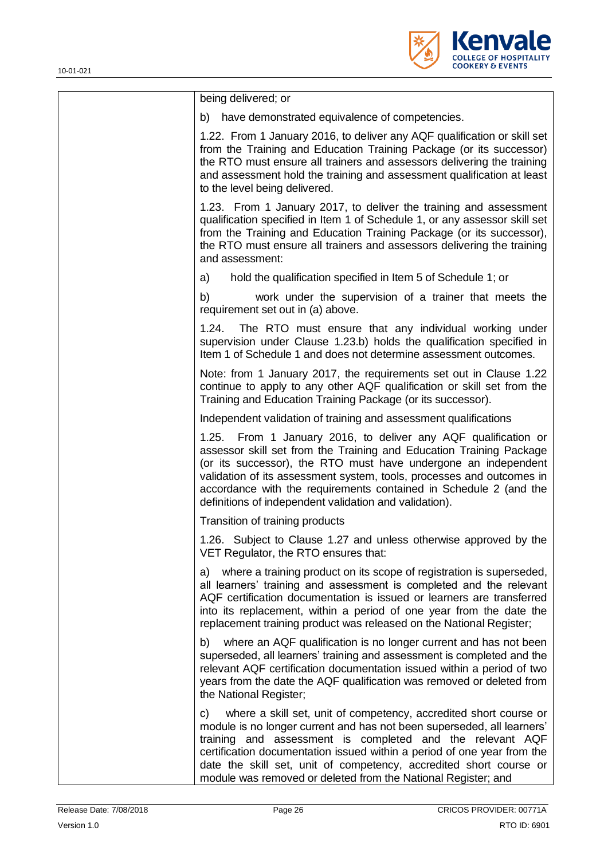

| being delivered; or                                                                                                                                                                                                                                                                                                                                                                                                           |
|-------------------------------------------------------------------------------------------------------------------------------------------------------------------------------------------------------------------------------------------------------------------------------------------------------------------------------------------------------------------------------------------------------------------------------|
| b) have demonstrated equivalence of competencies.                                                                                                                                                                                                                                                                                                                                                                             |
| 1.22. From 1 January 2016, to deliver any AQF qualification or skill set<br>from the Training and Education Training Package (or its successor)<br>the RTO must ensure all trainers and assessors delivering the training<br>and assessment hold the training and assessment qualification at least<br>to the level being delivered.                                                                                          |
| 1.23. From 1 January 2017, to deliver the training and assessment<br>qualification specified in Item 1 of Schedule 1, or any assessor skill set<br>from the Training and Education Training Package (or its successor),<br>the RTO must ensure all trainers and assessors delivering the training<br>and assessment:                                                                                                          |
| hold the qualification specified in Item 5 of Schedule 1; or<br>a)                                                                                                                                                                                                                                                                                                                                                            |
| b)<br>work under the supervision of a trainer that meets the<br>requirement set out in (a) above.                                                                                                                                                                                                                                                                                                                             |
| 1.24.<br>The RTO must ensure that any individual working under<br>supervision under Clause 1.23.b) holds the qualification specified in<br>Item 1 of Schedule 1 and does not determine assessment outcomes.                                                                                                                                                                                                                   |
| Note: from 1 January 2017, the requirements set out in Clause 1.22<br>continue to apply to any other AQF qualification or skill set from the<br>Training and Education Training Package (or its successor).                                                                                                                                                                                                                   |
| Independent validation of training and assessment qualifications                                                                                                                                                                                                                                                                                                                                                              |
| 1.25. From 1 January 2016, to deliver any AQF qualification or<br>assessor skill set from the Training and Education Training Package<br>(or its successor), the RTO must have undergone an independent<br>validation of its assessment system, tools, processes and outcomes in<br>accordance with the requirements contained in Schedule 2 (and the<br>definitions of independent validation and validation).               |
| Transition of training products                                                                                                                                                                                                                                                                                                                                                                                               |
| 1.26. Subject to Clause 1.27 and unless otherwise approved by the<br>VET Regulator, the RTO ensures that:                                                                                                                                                                                                                                                                                                                     |
| where a training product on its scope of registration is superseded,<br>a)<br>all learners' training and assessment is completed and the relevant<br>AQF certification documentation is issued or learners are transferred<br>into its replacement, within a period of one year from the date the<br>replacement training product was released on the National Register;                                                      |
| where an AQF qualification is no longer current and has not been<br>b)<br>superseded, all learners' training and assessment is completed and the<br>relevant AQF certification documentation issued within a period of two<br>years from the date the AQF qualification was removed or deleted from<br>the National Register;                                                                                                 |
| c) where a skill set, unit of competency, accredited short course or<br>module is no longer current and has not been superseded, all learners'<br>training and assessment is completed and the relevant AQF<br>certification documentation issued within a period of one year from the<br>date the skill set, unit of competency, accredited short course or<br>module was removed or deleted from the National Register; and |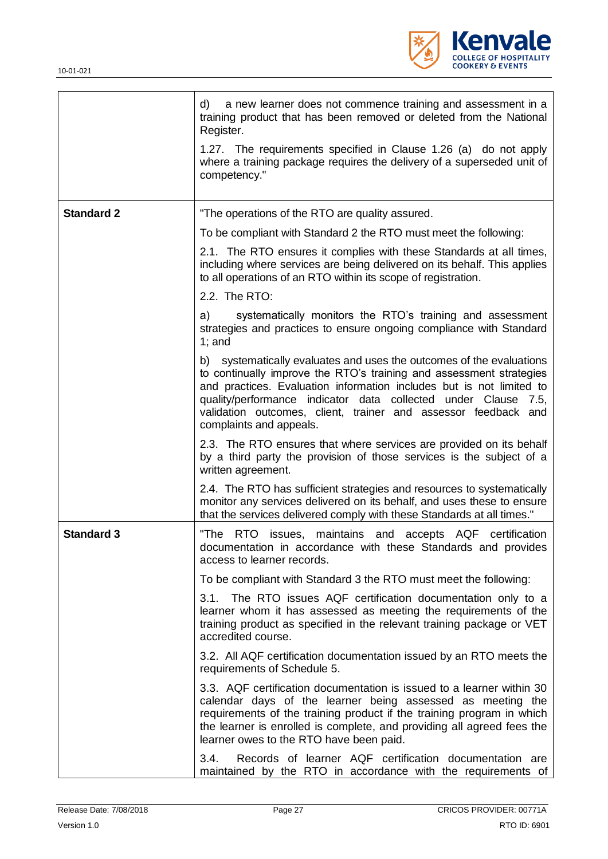

|                   | a new learner does not commence training and assessment in a<br>d)<br>training product that has been removed or deleted from the National<br>Register.                                                                                                                                                                                                                                |
|-------------------|---------------------------------------------------------------------------------------------------------------------------------------------------------------------------------------------------------------------------------------------------------------------------------------------------------------------------------------------------------------------------------------|
|                   | 1.27. The requirements specified in Clause 1.26 (a) do not apply<br>where a training package requires the delivery of a superseded unit of<br>competency."                                                                                                                                                                                                                            |
| <b>Standard 2</b> | "The operations of the RTO are quality assured.                                                                                                                                                                                                                                                                                                                                       |
|                   | To be compliant with Standard 2 the RTO must meet the following:                                                                                                                                                                                                                                                                                                                      |
|                   | 2.1. The RTO ensures it complies with these Standards at all times,<br>including where services are being delivered on its behalf. This applies<br>to all operations of an RTO within its scope of registration.                                                                                                                                                                      |
|                   | 2.2. The RTO:                                                                                                                                                                                                                                                                                                                                                                         |
|                   | systematically monitors the RTO's training and assessment<br>a)<br>strategies and practices to ensure ongoing compliance with Standard<br>$1$ ; and                                                                                                                                                                                                                                   |
|                   | systematically evaluates and uses the outcomes of the evaluations<br>b)<br>to continually improve the RTO's training and assessment strategies<br>and practices. Evaluation information includes but is not limited to<br>quality/performance indicator data collected under Clause 7.5,<br>validation outcomes, client, trainer and assessor feedback and<br>complaints and appeals. |
|                   | 2.3. The RTO ensures that where services are provided on its behalf<br>by a third party the provision of those services is the subject of a<br>written agreement.                                                                                                                                                                                                                     |
|                   | 2.4. The RTO has sufficient strategies and resources to systematically<br>monitor any services delivered on its behalf, and uses these to ensure<br>that the services delivered comply with these Standards at all times."                                                                                                                                                            |
| <b>Standard 3</b> | "The RTO<br>issues, maintains and accepts AQF certification<br>documentation in accordance with these Standards and provides<br>access to learner records.                                                                                                                                                                                                                            |
|                   | To be compliant with Standard 3 the RTO must meet the following:                                                                                                                                                                                                                                                                                                                      |
|                   | 3.1. The RTO issues AQF certification documentation only to a<br>learner whom it has assessed as meeting the requirements of the<br>training product as specified in the relevant training package or VET<br>accredited course.                                                                                                                                                       |
|                   | 3.2. All AQF certification documentation issued by an RTO meets the<br>requirements of Schedule 5.                                                                                                                                                                                                                                                                                    |
|                   | 3.3. AQF certification documentation is issued to a learner within 30<br>calendar days of the learner being assessed as meeting the<br>requirements of the training product if the training program in which<br>the learner is enrolled is complete, and providing all agreed fees the<br>learner owes to the RTO have been paid.                                                     |
|                   | Records of learner AQF certification documentation are<br>3.4.<br>maintained by the RTO in accordance with the requirements of                                                                                                                                                                                                                                                        |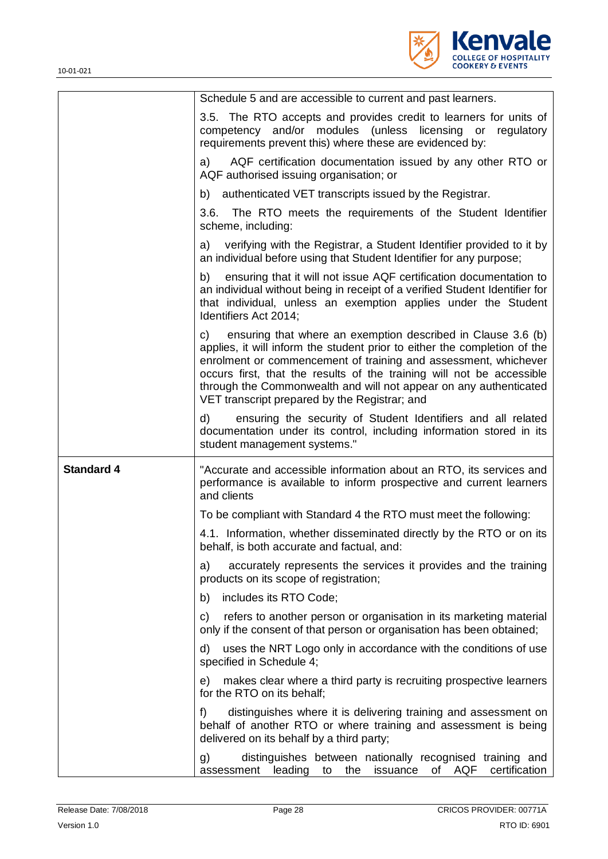

|                   | Schedule 5 and are accessible to current and past learners.                                                                                                                                                                                                                                                                                                                                                       |
|-------------------|-------------------------------------------------------------------------------------------------------------------------------------------------------------------------------------------------------------------------------------------------------------------------------------------------------------------------------------------------------------------------------------------------------------------|
|                   | 3.5. The RTO accepts and provides credit to learners for units of<br>competency and/or modules (unless licensing or<br>regulatory<br>requirements prevent this) where these are evidenced by:                                                                                                                                                                                                                     |
|                   | AQF certification documentation issued by any other RTO or<br>a)<br>AQF authorised issuing organisation; or                                                                                                                                                                                                                                                                                                       |
|                   | b) authenticated VET transcripts issued by the Registrar.                                                                                                                                                                                                                                                                                                                                                         |
|                   | 3.6. The RTO meets the requirements of the Student Identifier<br>scheme, including:                                                                                                                                                                                                                                                                                                                               |
|                   | a) verifying with the Registrar, a Student Identifier provided to it by<br>an individual before using that Student Identifier for any purpose;                                                                                                                                                                                                                                                                    |
|                   | ensuring that it will not issue AQF certification documentation to<br>b)<br>an individual without being in receipt of a verified Student Identifier for<br>that individual, unless an exemption applies under the Student<br>Identifiers Act 2014;                                                                                                                                                                |
|                   | ensuring that where an exemption described in Clause 3.6 (b)<br>C)<br>applies, it will inform the student prior to either the completion of the<br>enrolment or commencement of training and assessment, whichever<br>occurs first, that the results of the training will not be accessible<br>through the Commonwealth and will not appear on any authenticated<br>VET transcript prepared by the Registrar; and |
|                   | ensuring the security of Student Identifiers and all related<br>d)<br>documentation under its control, including information stored in its<br>student management systems."                                                                                                                                                                                                                                        |
| <b>Standard 4</b> | "Accurate and accessible information about an RTO, its services and<br>performance is available to inform prospective and current learners<br>and clients                                                                                                                                                                                                                                                         |
|                   | To be compliant with Standard 4 the RTO must meet the following:                                                                                                                                                                                                                                                                                                                                                  |
|                   | 4.1. Information, whether disseminated directly by the RTO or on its<br>behalf, is both accurate and factual, and:                                                                                                                                                                                                                                                                                                |
|                   | accurately represents the services it provides and the training<br>a)<br>products on its scope of registration;                                                                                                                                                                                                                                                                                                   |
|                   | includes its RTO Code;<br>b)                                                                                                                                                                                                                                                                                                                                                                                      |
|                   | refers to another person or organisation in its marketing material<br>C)<br>only if the consent of that person or organisation has been obtained;                                                                                                                                                                                                                                                                 |
|                   | uses the NRT Logo only in accordance with the conditions of use<br>d)<br>specified in Schedule 4;                                                                                                                                                                                                                                                                                                                 |
|                   | makes clear where a third party is recruiting prospective learners<br>e)<br>for the RTO on its behalf;                                                                                                                                                                                                                                                                                                            |
|                   | distinguishes where it is delivering training and assessment on<br>f)                                                                                                                                                                                                                                                                                                                                             |
|                   | behalf of another RTO or where training and assessment is being<br>delivered on its behalf by a third party;                                                                                                                                                                                                                                                                                                      |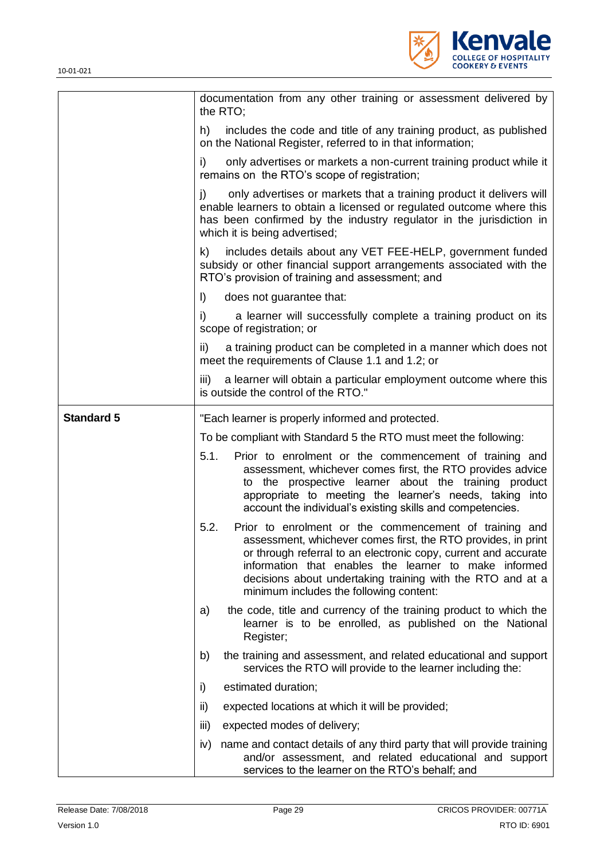

|                   | documentation from any other training or assessment delivered by<br>the RTO;                                                                                                                                                                                                                                                                                         |
|-------------------|----------------------------------------------------------------------------------------------------------------------------------------------------------------------------------------------------------------------------------------------------------------------------------------------------------------------------------------------------------------------|
|                   | includes the code and title of any training product, as published<br>h)<br>on the National Register, referred to in that information;                                                                                                                                                                                                                                |
|                   | only advertises or markets a non-current training product while it<br>i)<br>remains on the RTO's scope of registration;                                                                                                                                                                                                                                              |
|                   | only advertises or markets that a training product it delivers will<br>j)<br>enable learners to obtain a licensed or regulated outcome where this<br>has been confirmed by the industry regulator in the jurisdiction in<br>which it is being advertised;                                                                                                            |
|                   | includes details about any VET FEE-HELP, government funded<br>k)<br>subsidy or other financial support arrangements associated with the<br>RTO's provision of training and assessment; and                                                                                                                                                                           |
|                   | $\vert$ )<br>does not guarantee that:                                                                                                                                                                                                                                                                                                                                |
|                   | a learner will successfully complete a training product on its<br>i)<br>scope of registration; or                                                                                                                                                                                                                                                                    |
|                   | a training product can be completed in a manner which does not<br>ii)<br>meet the requirements of Clause 1.1 and 1.2; or                                                                                                                                                                                                                                             |
|                   | a learner will obtain a particular employment outcome where this<br>iii)<br>is outside the control of the RTO."                                                                                                                                                                                                                                                      |
| <b>Standard 5</b> | "Each learner is properly informed and protected.                                                                                                                                                                                                                                                                                                                    |
|                   | To be compliant with Standard 5 the RTO must meet the following:                                                                                                                                                                                                                                                                                                     |
|                   | 5.1.<br>Prior to enrolment or the commencement of training and<br>assessment, whichever comes first, the RTO provides advice                                                                                                                                                                                                                                         |
|                   | the prospective learner about the training product<br>to<br>appropriate to meeting the learner's needs, taking into<br>account the individual's existing skills and competencies.                                                                                                                                                                                    |
|                   | 5.2.<br>Prior to enrolment or the commencement of training and<br>assessment, whichever comes first, the RTO provides, in print<br>or through referral to an electronic copy, current and accurate<br>information that enables the learner to make informed<br>decisions about undertaking training with the RTO and at a<br>minimum includes the following content: |
|                   | the code, title and currency of the training product to which the<br>a)<br>learner is to be enrolled, as published on the National<br>Register;                                                                                                                                                                                                                      |
|                   | b)<br>the training and assessment, and related educational and support<br>services the RTO will provide to the learner including the:                                                                                                                                                                                                                                |
|                   | estimated duration;<br>i)                                                                                                                                                                                                                                                                                                                                            |
|                   | ii)<br>expected locations at which it will be provided;                                                                                                                                                                                                                                                                                                              |
|                   | iii)<br>expected modes of delivery;                                                                                                                                                                                                                                                                                                                                  |
|                   | name and contact details of any third party that will provide training<br>iv)<br>and/or assessment, and related educational and support<br>services to the learner on the RTO's behalf; and                                                                                                                                                                          |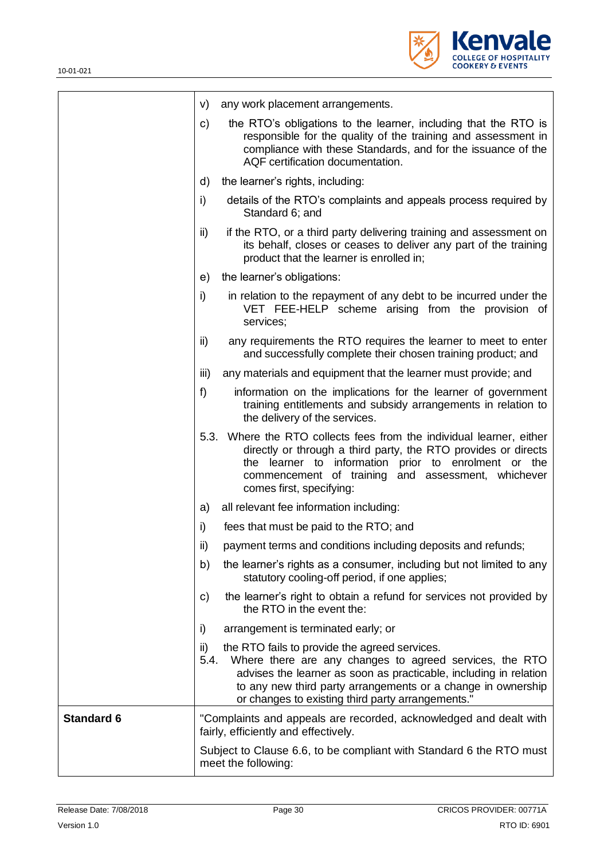

|                   | any work placement arrangements.<br>V)                                                                                                                                                                                                                                                                            |
|-------------------|-------------------------------------------------------------------------------------------------------------------------------------------------------------------------------------------------------------------------------------------------------------------------------------------------------------------|
|                   | the RTO's obligations to the learner, including that the RTO is<br>c)<br>responsible for the quality of the training and assessment in<br>compliance with these Standards, and for the issuance of the<br>AQF certification documentation.                                                                        |
|                   | d)<br>the learner's rights, including:                                                                                                                                                                                                                                                                            |
|                   | i)<br>details of the RTO's complaints and appeals process required by<br>Standard 6; and                                                                                                                                                                                                                          |
|                   | ii)<br>if the RTO, or a third party delivering training and assessment on<br>its behalf, closes or ceases to deliver any part of the training<br>product that the learner is enrolled in;                                                                                                                         |
|                   | the learner's obligations:<br>e)                                                                                                                                                                                                                                                                                  |
|                   | i)<br>in relation to the repayment of any debt to be incurred under the<br>VET FEE-HELP scheme arising from the provision of<br>services;                                                                                                                                                                         |
|                   | any requirements the RTO requires the learner to meet to enter<br>ii)<br>and successfully complete their chosen training product; and                                                                                                                                                                             |
|                   | iii)<br>any materials and equipment that the learner must provide; and                                                                                                                                                                                                                                            |
|                   | f)<br>information on the implications for the learner of government<br>training entitlements and subsidy arrangements in relation to<br>the delivery of the services.                                                                                                                                             |
|                   | 5.3. Where the RTO collects fees from the individual learner, either<br>directly or through a third party, the RTO provides or directs<br>the learner to information prior to enrolment or the<br>commencement of training and assessment, whichever<br>comes first, specifying:                                  |
|                   | all relevant fee information including:<br>a)                                                                                                                                                                                                                                                                     |
|                   | i)<br>fees that must be paid to the RTO; and                                                                                                                                                                                                                                                                      |
|                   | ii)<br>payment terms and conditions including deposits and refunds;                                                                                                                                                                                                                                               |
|                   | b)<br>the learner's rights as a consumer, including but not limited to any<br>statutory cooling-off period, if one applies;                                                                                                                                                                                       |
|                   | the learner's right to obtain a refund for services not provided by<br>c)<br>the RTO in the event the:                                                                                                                                                                                                            |
|                   | arrangement is terminated early; or<br>i)                                                                                                                                                                                                                                                                         |
|                   | the RTO fails to provide the agreed services.<br>ii)<br>5.4.<br>Where there are any changes to agreed services, the RTO<br>advises the learner as soon as practicable, including in relation<br>to any new third party arrangements or a change in ownership<br>or changes to existing third party arrangements.' |
| <b>Standard 6</b> | "Complaints and appeals are recorded, acknowledged and dealt with<br>fairly, efficiently and effectively.                                                                                                                                                                                                         |
|                   | Subject to Clause 6.6, to be compliant with Standard 6 the RTO must<br>meet the following:                                                                                                                                                                                                                        |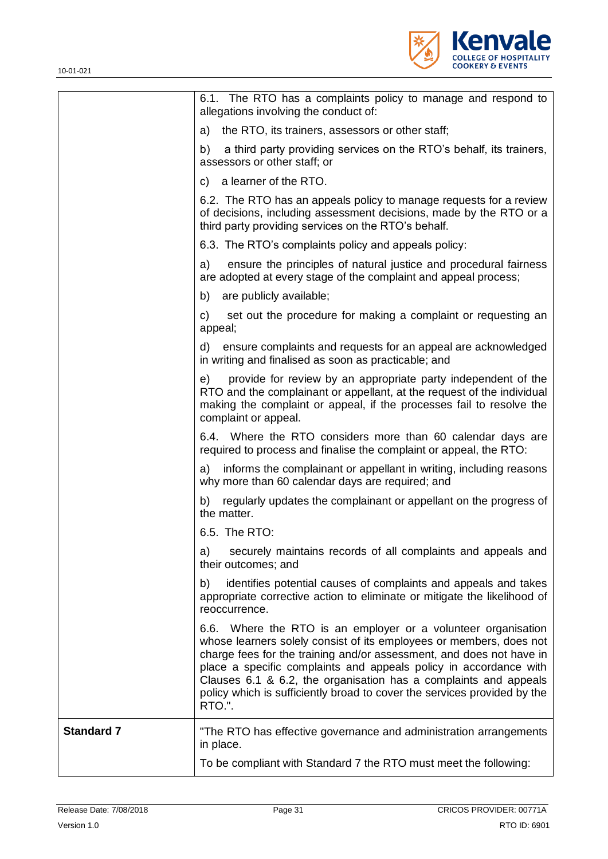

|                   | 6.1. The RTO has a complaints policy to manage and respond to<br>allegations involving the conduct of:                                                                                                                                                                                                                                                                                                                                      |
|-------------------|---------------------------------------------------------------------------------------------------------------------------------------------------------------------------------------------------------------------------------------------------------------------------------------------------------------------------------------------------------------------------------------------------------------------------------------------|
|                   | the RTO, its trainers, assessors or other staff;<br>a)                                                                                                                                                                                                                                                                                                                                                                                      |
|                   | b)<br>a third party providing services on the RTO's behalf, its trainers,<br>assessors or other staff; or                                                                                                                                                                                                                                                                                                                                   |
|                   | a learner of the RTO.<br>C)                                                                                                                                                                                                                                                                                                                                                                                                                 |
|                   | 6.2. The RTO has an appeals policy to manage requests for a review<br>of decisions, including assessment decisions, made by the RTO or a<br>third party providing services on the RTO's behalf.                                                                                                                                                                                                                                             |
|                   | 6.3. The RTO's complaints policy and appeals policy:                                                                                                                                                                                                                                                                                                                                                                                        |
|                   | ensure the principles of natural justice and procedural fairness<br>a)<br>are adopted at every stage of the complaint and appeal process;                                                                                                                                                                                                                                                                                                   |
|                   | b) are publicly available;                                                                                                                                                                                                                                                                                                                                                                                                                  |
|                   | set out the procedure for making a complaint or requesting an<br>C)<br>appeal;                                                                                                                                                                                                                                                                                                                                                              |
|                   | ensure complaints and requests for an appeal are acknowledged<br>d)<br>in writing and finalised as soon as practicable; and                                                                                                                                                                                                                                                                                                                 |
|                   | provide for review by an appropriate party independent of the<br>e)<br>RTO and the complainant or appellant, at the request of the individual<br>making the complaint or appeal, if the processes fail to resolve the<br>complaint or appeal.                                                                                                                                                                                               |
|                   | 6.4. Where the RTO considers more than 60 calendar days are<br>required to process and finalise the complaint or appeal, the RTO:                                                                                                                                                                                                                                                                                                           |
|                   | informs the complainant or appellant in writing, including reasons<br>a)<br>why more than 60 calendar days are required; and                                                                                                                                                                                                                                                                                                                |
|                   | b) regularly updates the complainant or appellant on the progress of<br>the matter.                                                                                                                                                                                                                                                                                                                                                         |
|                   | 6.5. The RTO:                                                                                                                                                                                                                                                                                                                                                                                                                               |
|                   | securely maintains records of all complaints and appeals and<br>a)<br>their outcomes; and                                                                                                                                                                                                                                                                                                                                                   |
|                   | identifies potential causes of complaints and appeals and takes<br>b)<br>appropriate corrective action to eliminate or mitigate the likelihood of<br>reoccurrence.                                                                                                                                                                                                                                                                          |
|                   | 6.6. Where the RTO is an employer or a volunteer organisation<br>whose learners solely consist of its employees or members, does not<br>charge fees for the training and/or assessment, and does not have in<br>place a specific complaints and appeals policy in accordance with<br>Clauses 6.1 & 6.2, the organisation has a complaints and appeals<br>policy which is sufficiently broad to cover the services provided by the<br>RTO.". |
| <b>Standard 7</b> | "The RTO has effective governance and administration arrangements<br>in place.                                                                                                                                                                                                                                                                                                                                                              |
|                   | To be compliant with Standard 7 the RTO must meet the following:                                                                                                                                                                                                                                                                                                                                                                            |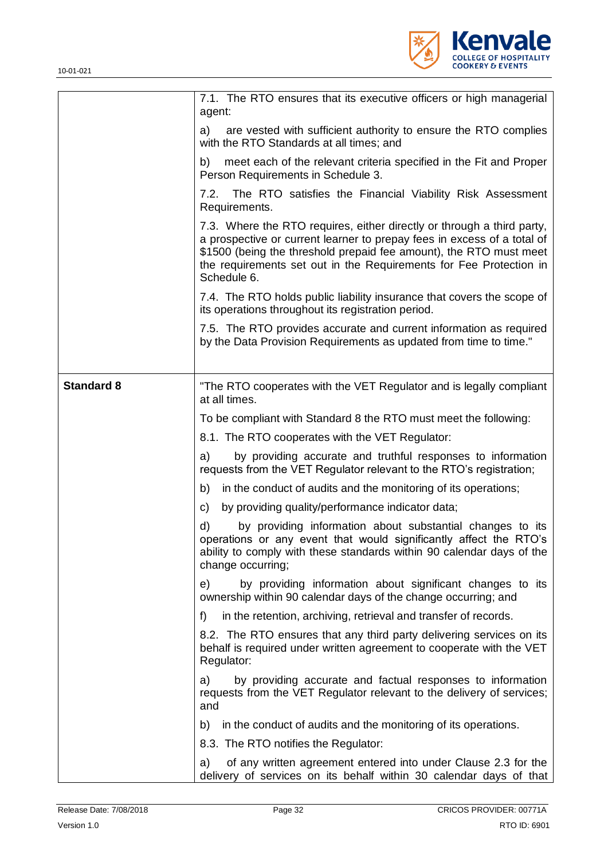

|                   | 7.1. The RTO ensures that its executive officers or high managerial<br>agent:                                                                                                                                                                                                                                |
|-------------------|--------------------------------------------------------------------------------------------------------------------------------------------------------------------------------------------------------------------------------------------------------------------------------------------------------------|
|                   | are vested with sufficient authority to ensure the RTO complies<br>a)<br>with the RTO Standards at all times; and                                                                                                                                                                                            |
|                   | meet each of the relevant criteria specified in the Fit and Proper<br>b)<br>Person Requirements in Schedule 3.                                                                                                                                                                                               |
|                   | The RTO satisfies the Financial Viability Risk Assessment<br>7.2.<br>Requirements.                                                                                                                                                                                                                           |
|                   | 7.3. Where the RTO requires, either directly or through a third party,<br>a prospective or current learner to prepay fees in excess of a total of<br>\$1500 (being the threshold prepaid fee amount), the RTO must meet<br>the requirements set out in the Requirements for Fee Protection in<br>Schedule 6. |
|                   | 7.4. The RTO holds public liability insurance that covers the scope of<br>its operations throughout its registration period.                                                                                                                                                                                 |
|                   | 7.5. The RTO provides accurate and current information as required<br>by the Data Provision Requirements as updated from time to time."                                                                                                                                                                      |
| <b>Standard 8</b> | "The RTO cooperates with the VET Regulator and is legally compliant<br>at all times.                                                                                                                                                                                                                         |
|                   | To be compliant with Standard 8 the RTO must meet the following:                                                                                                                                                                                                                                             |
|                   | 8.1. The RTO cooperates with the VET Regulator:                                                                                                                                                                                                                                                              |
|                   | by providing accurate and truthful responses to information<br>a)<br>requests from the VET Regulator relevant to the RTO's registration;                                                                                                                                                                     |
|                   | in the conduct of audits and the monitoring of its operations;<br>b)                                                                                                                                                                                                                                         |
|                   | by providing quality/performance indicator data;<br>C)                                                                                                                                                                                                                                                       |
|                   | d)<br>by providing information about substantial changes to its<br>operations or any event that would significantly affect the RTO's<br>ability to comply with these standards within 90 calendar days of the<br>change occurring;                                                                           |
|                   | by providing information about significant changes to its<br>e)<br>ownership within 90 calendar days of the change occurring; and                                                                                                                                                                            |
|                   | in the retention, archiving, retrieval and transfer of records.<br>f)                                                                                                                                                                                                                                        |
|                   | 8.2. The RTO ensures that any third party delivering services on its<br>behalf is required under written agreement to cooperate with the VET<br>Regulator:                                                                                                                                                   |
|                   | by providing accurate and factual responses to information<br>a)<br>requests from the VET Regulator relevant to the delivery of services;<br>and                                                                                                                                                             |
|                   | in the conduct of audits and the monitoring of its operations.<br>b)                                                                                                                                                                                                                                         |
|                   | 8.3. The RTO notifies the Regulator:                                                                                                                                                                                                                                                                         |
|                   | of any written agreement entered into under Clause 2.3 for the<br>a)<br>delivery of services on its behalf within 30 calendar days of that                                                                                                                                                                   |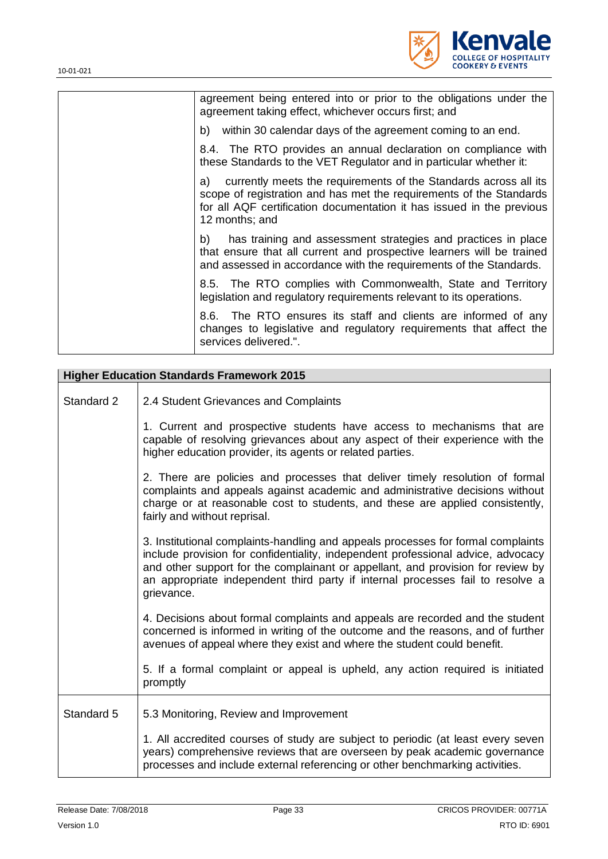

| agreement being entered into or prior to the obligations under the<br>agreement taking effect, whichever occurs first; and                                                                                                               |
|------------------------------------------------------------------------------------------------------------------------------------------------------------------------------------------------------------------------------------------|
| b) within 30 calendar days of the agreement coming to an end.                                                                                                                                                                            |
| 8.4. The RTO provides an annual declaration on compliance with<br>these Standards to the VET Regulator and in particular whether it:                                                                                                     |
| currently meets the requirements of the Standards across all its<br>a)<br>scope of registration and has met the requirements of the Standards<br>for all AQF certification documentation it has issued in the previous<br>12 months; and |
| has training and assessment strategies and practices in place<br>b)<br>that ensure that all current and prospective learners will be trained<br>and assessed in accordance with the requirements of the Standards.                       |
| 8.5. The RTO complies with Commonwealth, State and Territory<br>legislation and regulatory requirements relevant to its operations.                                                                                                      |
| 8.6. The RTO ensures its staff and clients are informed of any<br>changes to legislative and regulatory requirements that affect the<br>services delivered.".                                                                            |
|                                                                                                                                                                                                                                          |

| <b>Higher Education Standards Framework 2015</b> |                                                                                                                                                                                                                                                                                                                                                         |  |  |
|--------------------------------------------------|---------------------------------------------------------------------------------------------------------------------------------------------------------------------------------------------------------------------------------------------------------------------------------------------------------------------------------------------------------|--|--|
| Standard 2                                       | 2.4 Student Grievances and Complaints                                                                                                                                                                                                                                                                                                                   |  |  |
|                                                  | 1. Current and prospective students have access to mechanisms that are<br>capable of resolving grievances about any aspect of their experience with the<br>higher education provider, its agents or related parties.                                                                                                                                    |  |  |
|                                                  | 2. There are policies and processes that deliver timely resolution of formal<br>complaints and appeals against academic and administrative decisions without<br>charge or at reasonable cost to students, and these are applied consistently,<br>fairly and without reprisal.                                                                           |  |  |
|                                                  | 3. Institutional complaints-handling and appeals processes for formal complaints<br>include provision for confidentiality, independent professional advice, advocacy<br>and other support for the complainant or appellant, and provision for review by<br>an appropriate independent third party if internal processes fail to resolve a<br>grievance. |  |  |
|                                                  | 4. Decisions about formal complaints and appeals are recorded and the student<br>concerned is informed in writing of the outcome and the reasons, and of further<br>avenues of appeal where they exist and where the student could benefit.                                                                                                             |  |  |
|                                                  | 5. If a formal complaint or appeal is upheld, any action required is initiated<br>promptly                                                                                                                                                                                                                                                              |  |  |
| Standard 5                                       | 5.3 Monitoring, Review and Improvement                                                                                                                                                                                                                                                                                                                  |  |  |
|                                                  | 1. All accredited courses of study are subject to periodic (at least every seven<br>years) comprehensive reviews that are overseen by peak academic governance<br>processes and include external referencing or other benchmarking activities.                                                                                                          |  |  |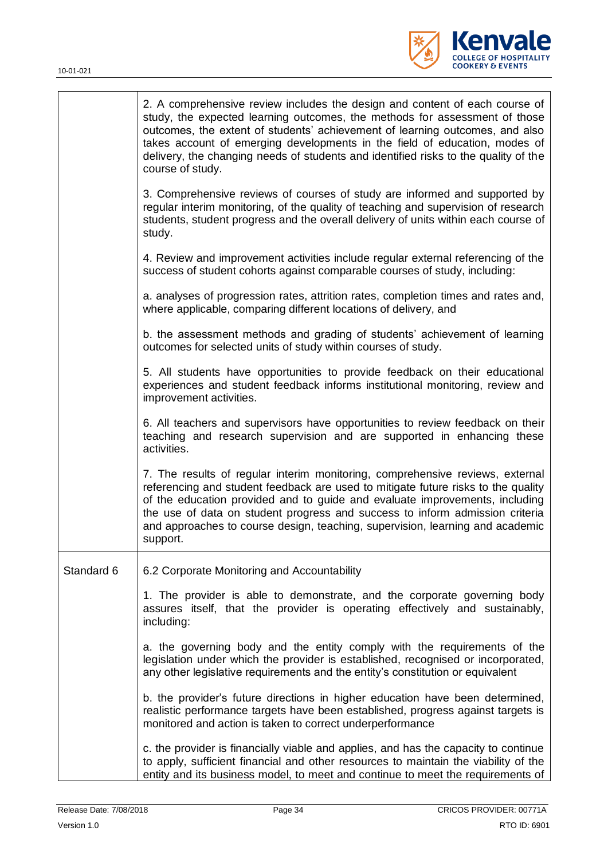

|            | 2. A comprehensive review includes the design and content of each course of<br>study, the expected learning outcomes, the methods for assessment of those<br>outcomes, the extent of students' achievement of learning outcomes, and also<br>takes account of emerging developments in the field of education, modes of<br>delivery, the changing needs of students and identified risks to the quality of the<br>course of study. |
|------------|------------------------------------------------------------------------------------------------------------------------------------------------------------------------------------------------------------------------------------------------------------------------------------------------------------------------------------------------------------------------------------------------------------------------------------|
|            | 3. Comprehensive reviews of courses of study are informed and supported by<br>regular interim monitoring, of the quality of teaching and supervision of research<br>students, student progress and the overall delivery of units within each course of<br>study.                                                                                                                                                                   |
|            | 4. Review and improvement activities include regular external referencing of the<br>success of student cohorts against comparable courses of study, including:                                                                                                                                                                                                                                                                     |
|            | a. analyses of progression rates, attrition rates, completion times and rates and,<br>where applicable, comparing different locations of delivery, and                                                                                                                                                                                                                                                                             |
|            | b. the assessment methods and grading of students' achievement of learning<br>outcomes for selected units of study within courses of study.                                                                                                                                                                                                                                                                                        |
|            | 5. All students have opportunities to provide feedback on their educational<br>experiences and student feedback informs institutional monitoring, review and<br>improvement activities.                                                                                                                                                                                                                                            |
|            | 6. All teachers and supervisors have opportunities to review feedback on their<br>teaching and research supervision and are supported in enhancing these<br>activities.                                                                                                                                                                                                                                                            |
|            | 7. The results of regular interim monitoring, comprehensive reviews, external<br>referencing and student feedback are used to mitigate future risks to the quality<br>of the education provided and to guide and evaluate improvements, including<br>the use of data on student progress and success to inform admission criteria<br>and approaches to course design, teaching, supervision, learning and academic<br>support.     |
| Standard 6 | 6.2 Corporate Monitoring and Accountability                                                                                                                                                                                                                                                                                                                                                                                        |
|            | 1. The provider is able to demonstrate, and the corporate governing body<br>assures itself, that the provider is operating effectively and sustainably,<br>including:                                                                                                                                                                                                                                                              |
|            | a. the governing body and the entity comply with the requirements of the<br>legislation under which the provider is established, recognised or incorporated,<br>any other legislative requirements and the entity's constitution or equivalent                                                                                                                                                                                     |
|            | b. the provider's future directions in higher education have been determined,<br>realistic performance targets have been established, progress against targets is<br>monitored and action is taken to correct underperformance                                                                                                                                                                                                     |
|            | c. the provider is financially viable and applies, and has the capacity to continue<br>to apply, sufficient financial and other resources to maintain the viability of the<br>entity and its business model, to meet and continue to meet the requirements of                                                                                                                                                                      |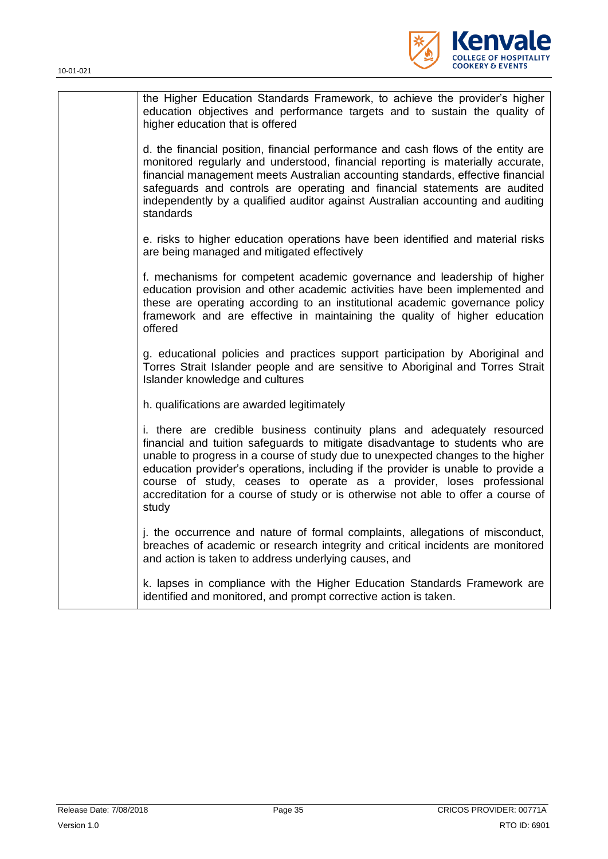

| the Higher Education Standards Framework, to achieve the provider's higher<br>education objectives and performance targets and to sustain the quality of<br>higher education that is offered                                                                                                                                                                                                                                                                                                            |
|---------------------------------------------------------------------------------------------------------------------------------------------------------------------------------------------------------------------------------------------------------------------------------------------------------------------------------------------------------------------------------------------------------------------------------------------------------------------------------------------------------|
| d. the financial position, financial performance and cash flows of the entity are<br>monitored regularly and understood, financial reporting is materially accurate,<br>financial management meets Australian accounting standards, effective financial<br>safeguards and controls are operating and financial statements are audited<br>independently by a qualified auditor against Australian accounting and auditing<br>standards                                                                   |
| e. risks to higher education operations have been identified and material risks<br>are being managed and mitigated effectively                                                                                                                                                                                                                                                                                                                                                                          |
| f. mechanisms for competent academic governance and leadership of higher<br>education provision and other academic activities have been implemented and<br>these are operating according to an institutional academic governance policy<br>framework and are effective in maintaining the quality of higher education<br>offered                                                                                                                                                                        |
| g. educational policies and practices support participation by Aboriginal and<br>Torres Strait Islander people and are sensitive to Aboriginal and Torres Strait<br>Islander knowledge and cultures                                                                                                                                                                                                                                                                                                     |
| h. qualifications are awarded legitimately                                                                                                                                                                                                                                                                                                                                                                                                                                                              |
| i. there are credible business continuity plans and adequately resourced<br>financial and tuition safeguards to mitigate disadvantage to students who are<br>unable to progress in a course of study due to unexpected changes to the higher<br>education provider's operations, including if the provider is unable to provide a<br>course of study, ceases to operate as a provider, loses professional<br>accreditation for a course of study or is otherwise not able to offer a course of<br>study |
| j. the occurrence and nature of formal complaints, allegations of misconduct,<br>breaches of academic or research integrity and critical incidents are monitored<br>and action is taken to address underlying causes, and                                                                                                                                                                                                                                                                               |
| k. lapses in compliance with the Higher Education Standards Framework are<br>identified and monitored, and prompt corrective action is taken.                                                                                                                                                                                                                                                                                                                                                           |